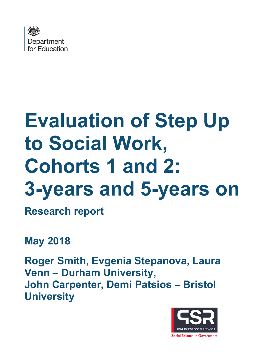

# **Evaluation of Step Up to Social Work, Cohorts 1 and 2: 3-years and 5-years on**

**Research report**

**May 2018**

**Roger Smith, Evgenia Stepanova, Laura Venn – Durham University, John Carpenter, Demi Patsios – Bristol University**

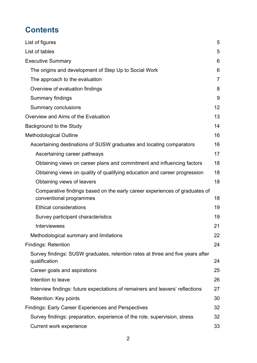# **Contents**

| List of figures                                                                                       | 5              |
|-------------------------------------------------------------------------------------------------------|----------------|
| List of tables                                                                                        | 5              |
| <b>Executive Summary</b>                                                                              | 6              |
| The origins and development of Step Up to Social Work                                                 | 6              |
| The approach to the evaluation                                                                        | $\overline{7}$ |
| Overview of evaluation findings                                                                       | 8              |
| Summary findings                                                                                      | 9              |
| <b>Summary conclusions</b>                                                                            | 12             |
| Overview and Aims of the Evaluation                                                                   | 13             |
| Background to the Study                                                                               | 14             |
| <b>Methodological Outline</b>                                                                         | 16             |
| Ascertaining destinations of SUSW graduates and locating comparators                                  | 16             |
| Ascertaining career pathways                                                                          | 17             |
| Obtaining views on career plans and commitment and influencing factors                                | 18             |
| Obtaining views on quality of qualifying education and career progression                             | 18             |
| Obtaining views of leavers                                                                            | 18             |
| Comparative findings based on the early career experiences of graduates of<br>conventional programmes | 18             |
| <b>Ethical considerations</b>                                                                         | 19             |
| Survey participant characteristics                                                                    | 19             |
| <b>Interviewees</b>                                                                                   | 21             |
| Methodological summary and limitations                                                                | 22             |
| <b>Findings: Retention</b>                                                                            | 24             |
| Survey findings: SUSW graduates, retention rates at three and five years after<br>qualification       | 24             |
| Career goals and aspirations                                                                          | 25             |
| Intention to leave                                                                                    | 26             |
| Interview findings: future expectations of remainers and leavers' reflections                         | 27             |
| Retention: Key points                                                                                 | 30             |
| <b>Findings: Early Career Experiences and Perspectives</b>                                            | 32             |
| Survey findings: preparation, experience of the role, supervision, stress                             | 32             |
| Current work experience                                                                               | 33             |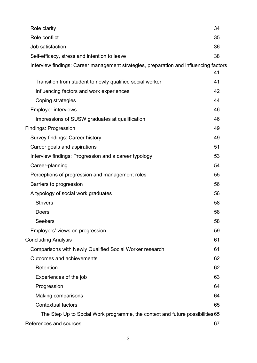| Role clarity                                                                          | 34       |
|---------------------------------------------------------------------------------------|----------|
| Role conflict                                                                         | 35       |
| Job satisfaction                                                                      | 36       |
| Self-efficacy, stress and intention to leave                                          | 38       |
| Interview findings: Career management strategies, preparation and influencing factors |          |
| Transition from student to newly qualified social worker                              | 41<br>41 |
| Influencing factors and work experiences                                              | 42       |
| Coping strategies                                                                     | 44       |
| <b>Employer interviews</b>                                                            | 46       |
| Impressions of SUSW graduates at qualification                                        | 46       |
| <b>Findings: Progression</b>                                                          | 49       |
| Survey findings: Career history                                                       | 49       |
| Career goals and aspirations                                                          | 51       |
|                                                                                       | 53       |
| Interview findings: Progression and a career typology                                 | 54       |
| Career-planning                                                                       |          |
| Perceptions of progression and management roles                                       | 55       |
| Barriers to progression                                                               | 56       |
| A typology of social work graduates                                                   | 56       |
| <b>Strivers</b>                                                                       | 58       |
| Doers                                                                                 | 58       |
| <b>Seekers</b>                                                                        | 58       |
| Employers' views on progression                                                       | 59       |
| <b>Concluding Analysis</b>                                                            | 61       |
| <b>Comparisons with Newly Qualified Social Worker research</b>                        | 61       |
| Outcomes and achievements                                                             | 62       |
| Retention                                                                             | 62       |
| Experiences of the job                                                                | 63       |
| Progression                                                                           | 64       |
| <b>Making comparisons</b>                                                             | 64       |
| <b>Contextual factors</b>                                                             | 65       |
| The Step Up to Social Work programme, the context and future possibilities 65         |          |
| References and sources                                                                | 67       |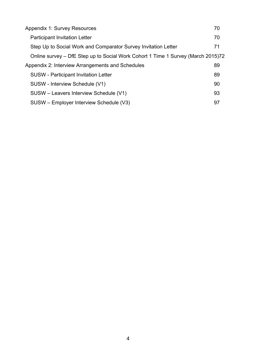| <b>Appendix 1: Survey Resources</b>                                              | 70 |
|----------------------------------------------------------------------------------|----|
| <b>Participant Invitation Letter</b>                                             | 70 |
| Step Up to Social Work and Comparator Survey Invitation Letter                   | 71 |
| Online survey – DfE Step up to Social Work Cohort 1 Time 1 Survey (March 2015)72 |    |
| Appendix 2: Interview Arrangements and Schedules                                 | 89 |
| <b>SUSW</b> - Participant Invitation Letter                                      | 89 |
| SUSW - Interview Schedule (V1)                                                   | 90 |
| SUSW – Leavers Interview Schedule (V1)                                           | 93 |
| SUSW - Employer Interview Schedule (V3)                                          | 97 |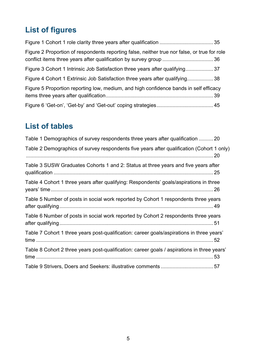# <span id="page-4-0"></span>**List of figures**

| Figure 2 Proportion of respondents reporting false, neither true nor false, or true for role |  |
|----------------------------------------------------------------------------------------------|--|
| Figure 3 Cohort 1 Intrinsic Job Satisfaction three years after qualifying37                  |  |
| Figure 4 Cohort 1 Extrinsic Job Satisfaction three years after qualifying38                  |  |
| Figure 5 Proportion reporting low, medium, and high confidence bands in self efficacy        |  |
|                                                                                              |  |

# <span id="page-4-1"></span>**List of tables**

| Table 1 Demographics of survey respondents three years after qualification  20              |
|---------------------------------------------------------------------------------------------|
| Table 2 Demographics of survey respondents five years after qualification (Cohort 1 only)   |
| Table 3 SUSW Graduates Cohorts 1 and 2: Status at three years and five years after          |
| Table 4 Cohort 1 three years after qualifying: Respondents' goals/aspirations in three      |
| Table 5 Number of posts in social work reported by Cohort 1 respondents three years         |
| Table 6 Number of posts in social work reported by Cohort 2 respondents three years         |
| Table 7 Cohort 1 three years post-qualification: career goals/aspirations in three years'   |
| Table 8 Cohort 2 three years post-qualification: career goals / aspirations in three years' |
|                                                                                             |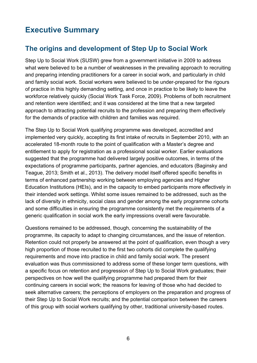# <span id="page-5-0"></span>**Executive Summary**

# <span id="page-5-1"></span>**The origins and development of Step Up to Social Work**

Step Up to Social Work (SUSW) grew from a government initiative in 2009 to address what were believed to be a number of weaknesses in the prevailing approach to recruiting and preparing intending practitioners for a career in social work, and particularly in child and family social work. Social workers were believed to be under-prepared for the rigours of practice in this highly demanding setting, and once in practice to be likely to leave the workforce relatively quickly (Social Work Task Force, 2009). Problems of both recruitment and retention were identified; and it was considered at the time that a new targeted approach to attracting potential recruits to the profession and preparing them effectively for the demands of practice with children and families was required.

The Step Up to Social Work qualifying programme was developed, accredited and implemented very quickly, accepting its first intake of recruits in September 2010, with an accelerated 18-month route to the point of qualification with a Master's degree and entitlement to apply for registration as a professional social worker. Earlier evaluations suggested that the programme had delivered largely positive outcomes, in terms of the expectations of programme participants, partner agencies, and educators (Baginsky and Teague, 2013; Smith et al., 2013). The delivery model itself offered specific benefits in terms of enhanced partnership working between employing agencies and Higher Education Institutions (HEIs), and in the capacity to embed participants more effectively in their intended work settings. Whilst some issues remained to be addressed, such as the lack of diversity in ethnicity, social class and gender among the early programme cohorts and some difficulties in ensuring the programme consistently met the requirements of a generic qualification in social work the early impressions overall were favourable.

Questions remained to be addressed, though, concerning the sustainability of the programme, its capacity to adapt to changing circumstances, and the issue of retention. Retention could not properly be answered at the point of qualification, even though a very high proportion of those recruited to the first two cohorts did complete the qualifying requirements and move into practice in child and family social work. The present evaluation was thus commissioned to address some of these longer term questions, with a specific focus on retention and progression of Step Up to Social Work graduates; their perspectives on how well the qualifying programme had prepared them for their continuing careers in social work; the reasons for leaving of those who had decided to seek alternative careers; the perceptions of employers on the preparation and progress of their Step Up to Social Work recruits; and the potential comparison between the careers of this group with social workers qualifying by other, traditional university-based routes.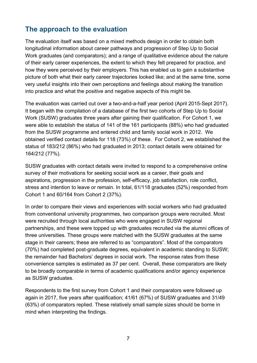## <span id="page-6-0"></span>**The approach to the evaluation**

The evaluation itself was based on a mixed methods design in order to obtain both longitudinal information about career pathways and progression of Step Up to Social Work graduates (and comparators); and a range of qualitative evidence about the nature of their early career experiences, the extent to which they felt prepared for practice, and how they were perceived by their employers. This has enabled us to gain a substantive picture of both what their early career trajectories looked like; and at the same time, some very useful insights into their own perceptions and feelings about making the transition into practice and what the positive and negative aspects of this might be.

The evaluation was carried out over a two-and-a-half year period (April 2015-Sept 2017). It began with the compilation of a database of the first two cohorts of Step Up to Social Work (SUSW) graduates three years after gaining their qualification. For Cohort 1, we were able to establish the status of 141 of the 161 participants (88%) who had graduated from the SUSW programme and entered child and family social work in 2012. We obtained verified contact details for 118 (73%) of these. For Cohort 2, we established the status of 183/212 (86%) who had graduated in 2013; contact details were obtained for 164/212 (77%).

SUSW graduates with contact details were invited to respond to a comprehensive online survey of their motivations for seeking social work as a career, their goals and aspirations, progression in the profession, self-efficacy, job satisfaction, role conflict, stress and intention to leave or remain. In total, 61/118 graduates (52%) responded from Cohort 1 and 60/164 from Cohort 2 (37%).

In order to compare their views and experiences with social workers who had graduated from conventional university programmes, two comparison groups were recruited. Most were recruited through local authorities who were engaged in SUSW regional partnerships, and these were topped up with graduates recruited via the alumni offices of three universities. These groups were matched with the SUSW graduates at the same stage in their careers; these are referred to as "comparators". Most of the comparators (70%) had completed post-graduate degrees, equivalent in academic standing to SUSW; the remainder had Bachelors' degrees in social work. The response rates from these convenience samples is estimated as 37 per cent. Overall, these comparators are likely to be broadly comparable in terms of academic qualifications and/or agency experience as SUSW graduates.

Respondents to the first survey from Cohort 1 and their comparators were followed up again in 2017, five years after qualification; 41/61 (67%) of SUSW graduates and 31/49 (63%) of comparators replied. These relatively small sample sizes should be borne in mind when interpreting the findings.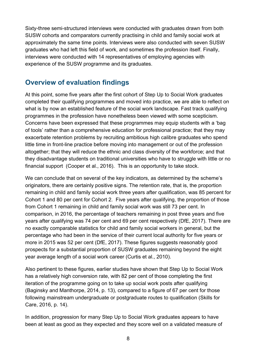Sixty-three semi-structured interviews were conducted with graduates drawn from both SUSW cohorts and comparators currently practising in child and family social work at approximately the same time points. Interviews were also conducted with seven SUSW graduates who had left this field of work, and sometimes the profession itself. Finally, interviews were conducted with 14 representatives of employing agencies with experience of the SUSW programme and its graduates.

## <span id="page-7-0"></span>**Overview of evaluation findings**

At this point, some five years after the first cohort of Step Up to Social Work graduates completed their qualifying programmes and moved into practice, we are able to reflect on what is by now an established feature of the social work landscape. Fast track qualifying programmes in the profession have nonetheless been viewed with some scepticism. Concerns have been expressed that these programmes may equip students with a 'bag of tools' rather than a comprehensive education for professional practice; that they may exacerbate retention problems by recruiting ambitious high calibre graduates who spend little time in front-line practice before moving into management or out of the profession altogether; that they will reduce the ethnic and class diversity of the workforce; and that they disadvantage students on traditional universities who have to struggle with little or no financial support (Cooper et al., 2016). This is an opportunity to take stock.

We can conclude that on several of the key indicators, as determined by the scheme's originators, there are certainly positive signs. The retention rate, that is, the proportion remaining in child and family social work three years after qualification, was 85 percent for Cohort 1 and 80 per cent for Cohort 2. Five years after qualifying, the proportion of those from Cohort 1 remaining in child and family social work was still 73 per cent. In comparison, in 2016, the percentage of teachers remaining in post three years and five years after qualifying was 74 per cent and 69 per cent respectively (DfE, 2017). There are no exactly comparable statistics for child and family social workers in general, but the percentage who had been in the service of their current local authority for five years or more in 2015 was 52 per cent (DfE, 2017). These figures suggests reasonably good prospects for a substantial proportion of SUSW graduates remaining beyond the eight year average length of a social work career (Curtis et al., 2010).

Also pertinent to these figures, earlier studies have shown that Step Up to Social Work has a relatively high conversion rate, with 82 per cent of those completing the first iteration of the programme going on to take up social work posts after qualifying (Baginsky and Manthorpe, 2014, p. 13), compared to a figure of 67 per cent for those following mainstream undergraduate or postgraduate routes to qualification (Skills for Care, 2016, p. 14).

In addition, progression for many Step Up to Social Work graduates appears to have been at least as good as they expected and they score well on a validated measure of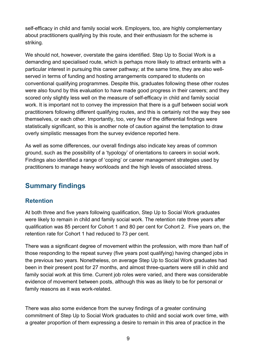self-efficacy in child and family social work. Employers, too, are highly complementary about practitioners qualifying by this route, and their enthusiasm for the scheme is striking.

We should not, however, overstate the gains identified. Step Up to Social Work is a demanding and specialised route, which is perhaps more likely to attract entrants with a particular interest in pursuing this career pathway; at the same time, they are also wellserved in terms of funding and hosting arrangements compared to students on conventional qualifying programmes. Despite this, graduates following these other routes were also found by this evaluation to have made good progress in their careers; and they scored only slightly less well on the measure of self-efficacy in child and family social work. It is important not to convey the impression that there is a gulf between social work practitioners following different qualifying routes, and this is certainly not the way they see themselves, or each other. Importantly, too, very few of the differential findings were statistically significant, so this is another note of caution against the temptation to draw overly simplistic messages from the survey evidence reported here.

As well as some differences, our overall findings also indicate key areas of common ground, such as the possibility of a 'typology' of orientations to careers in social work. Findings also identified a range of 'coping' or career management strategies used by practitioners to manage heavy workloads and the high levels of associated stress.

# <span id="page-8-0"></span>**Summary findings**

#### **Retention**

At both three and five years following qualification, Step Up to Social Work graduates were likely to remain in child and family social work. The retention rate three years after qualification was 85 percent for Cohort 1 and 80 per cent for Cohort 2. Five years on, the retention rate for Cohort 1 had reduced to 73 per cent.

There was a significant degree of movement within the profession, with more than half of those responding to the repeat survey (five years post qualifying) having changed jobs in the previous two years. Nonetheless, on average Step Up to Social Work graduates had been in their present post for 27 months, and almost three-quarters were still in child and family social work at this time. Current job roles were varied, and there was considerable evidence of movement between posts, although this was as likely to be for personal or family reasons as it was work-related.

There was also some evidence from the survey findings of a greater continuing commitment of Step Up to Social Work graduates to child and social work over time, with a greater proportion of them expressing a desire to remain in this area of practice in the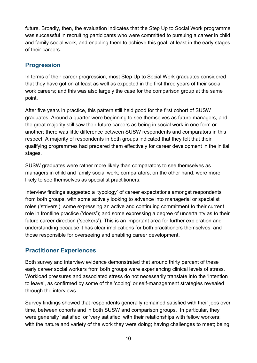future. Broadly, then, the evaluation indicates that the Step Up to Social Work programme was successful in recruiting participants who were committed to pursuing a career in child and family social work, and enabling them to achieve this goal, at least in the early stages of their careers.

#### **Progression**

In terms of their career progression, most Step Up to Social Work graduates considered that they have got on at least as well as expected in the first three years of their social work careers; and this was also largely the case for the comparison group at the same point.

After five years in practice, this pattern still held good for the first cohort of SUSW graduates. Around a quarter were beginning to see themselves as future managers, and the great majority still saw their future careers as being in social work in one form or another; there was little difference between SUSW respondents and comparators in this respect. A majority of respondents in both groups indicated that they felt that their qualifying programmes had prepared them effectively for career development in the initial stages.

SUSW graduates were rather more likely than comparators to see themselves as managers in child and family social work; comparators, on the other hand, were more likely to see themselves as specialist practitioners.

Interview findings suggested a 'typology' of career expectations amongst respondents from both groups, with some actively looking to advance into managerial or specialist roles ('strivers'); some expressing an active and continuing commitment to their current role in frontline practice ('doers'); and some expressing a degree of uncertainty as to their future career direction ('seekers'). This is an important area for further exploration and understanding because it has clear implications for both practitioners themselves, and those responsible for overseeing and enabling career development.

#### **Practitioner Experiences**

Both survey and interview evidence demonstrated that around thirty percent of these early career social workers from both groups were experiencing clinical levels of stress. Workload pressures and associated stress do not necessarily translate into the 'intention to leave', as confirmed by some of the 'coping' or self-management strategies revealed through the interviews.

Survey findings showed that respondents generally remained satisfied with their jobs over time, between cohorts and in both SUSW and comparison groups. In particular, they were generally 'satisfied' or 'very satisfied' with their relationships with fellow workers; with the nature and variety of the work they were doing; having challenges to meet; being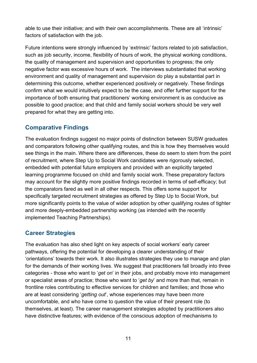able to use their initiative; and with their own accomplishments. These are all 'intrinsic' factors of satisfaction with the job.

Future intentions were strongly influenced by 'extrinsic' factors related to job satisfaction, such as job security, income, flexibility of hours of work, the physical working conditions, the quality of management and supervision and opportunities to progress; the only negative factor was excessive hours of work. The interviews substantiated that working environment and quality of management and supervision do play a substantial part in determining this outcome, whether experienced positively or negatively. These findings confirm what we would intuitively expect to be the case, and offer further support for the importance of both ensuring that practitioners' working environment is as conducive as possible to good practice; and that child and family social workers should be very well prepared for what they are getting into.

#### **Comparative Findings**

The evaluation findings suggest no major points of distinction between SUSW graduates and comparators following other qualifying routes, and this is how they themselves would see things in the main. Where there are differences, these do seem to stem from the point of recruitment, where Step Up to Social Work candidates were rigorously selected, embedded with potential future employers and provided with an explicitly targeted learning programme focused on child and family social work. These preparatory factors may account for the slightly more positive findings recorded in terms of self-efficacy; but the comparators fared as well in all other respects. This offers some support for specifically targeted recruitment strategies as offered by Step Up to Social Work, but more significantly points to the value of wider adoption by other qualifying routes of tighter and more deeply-embedded partnership working (as intended with the recently implemented Teaching Partnerships).

#### **Career Strategies**

The evaluation has also shed light on key aspects of social workers' early career pathways, offering the potential for developing a clearer understanding of their 'orientations' towards their work. It also illustrates strategies they use to manage and plan for the demands of their working lives. We suggest that practitioners fall broadly into three categories - those who want to '*get on*' in their jobs, and probably move into management or specialist areas of practice; those who want to '*get by*' and more than that, remain in frontline roles contributing to effective services for children and families; and those who are at least considering '*getting out*', whose experiences may have been more uncomfortable, and who have come to question the value of their present role (to themselves, at least). The career management strategies adopted by practitioners also have distinctive features; with evidence of the conscious adoption of mechanisms to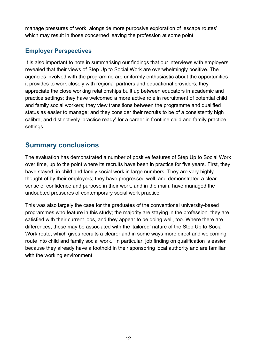manage pressures of work, alongside more purposive exploration of 'escape routes' which may result in those concerned leaving the profession at some point.

### **Employer Perspectives**

It is also important to note in summarising our findings that our interviews with employers revealed that their views of Step Up to Social Work are overwhelmingly positive. The agencies involved with the programme are uniformly enthusiastic about the opportunities it provides to work closely with regional partners and educational providers; they appreciate the close working relationships built up between educators in academic and practice settings; they have welcomed a more active role in recruitment of potential child and family social workers; they view transitions between the programme and qualified status as easier to manage; and they consider their recruits to be of a consistently high calibre, and distinctively 'practice ready' for a career in frontline child and family practice settings.

## <span id="page-11-0"></span>**Summary conclusions**

The evaluation has demonstrated a number of positive features of Step Up to Social Work over time, up to the point where its recruits have been in practice for five years. First, they have stayed, in child and family social work in large numbers. They are very highly thought of by their employers; they have progressed well, and demonstrated a clear sense of confidence and purpose in their work, and in the main, have managed the undoubted pressures of contemporary social work practice.

This was also largely the case for the graduates of the conventional university-based programmes who feature in this study; the majority are staying in the profession, they are satisfied with their current jobs, and they appear to be doing well, too. Where there are differences, these may be associated with the 'tailored' nature of the Step Up to Social Work route, which gives recruits a clearer and in some ways more direct and welcoming route into child and family social work. In particular, job finding on qualification is easier because they already have a foothold in their sponsoring local authority and are familiar with the working environment.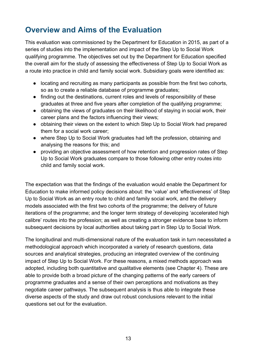# <span id="page-12-0"></span>**Overview and Aims of the Evaluation**

This evaluation was commissioned by the Department for Education in 2015, as part of a series of studies into the implementation and impact of the Step Up to Social Work qualifying programme. The objectives set out by the Department for Education specified the overall aim for the study of assessing the effectiveness of Step Up to Social Work as a route into practice in child and family social work. Subsidiary goals were identified as:

- locating and recruiting as many participants as possible from the first two cohorts, so as to create a reliable database of programme graduates;
- finding out the destinations, current roles and levels of responsibility of these graduates at three and five years after completion of the qualifying programme;
- obtaining the views of graduates on their likelihood of staying in social work, their career plans and the factors influencing their views;
- obtaining their views on the extent to which Step Up to Social Work had prepared them for a social work career;
- where Step Up to Social Work graduates had left the profession, obtaining and analysing the reasons for this; and
- providing an objective assessment of how retention and progression rates of Step Up to Social Work graduates compare to those following other entry routes into child and family social work.

The expectation was that the findings of the evaluation would enable the Department for Education to make informed policy decisions about: the 'value' and 'effectiveness' of Step Up to Social Work as an entry route to child and family social work, and the delivery models associated with the first two cohorts of the programme; the delivery of future iterations of the programme; and the longer term strategy of developing 'accelerated high calibre' routes into the profession; as well as creating a stronger evidence base to inform subsequent decisions by local authorities about taking part in Step Up to Social Work.

The longitudinal and multi-dimensional nature of the evaluation task in turn necessitated a methodological approach which incorporated a variety of research questions, data sources and analytical strategies, producing an integrated overview of the continuing impact of Step Up to Social Work. For these reasons, a mixed methods approach was adopted, including both quantitative and qualitative elements (see Chapter 4). These are able to provide both a broad picture of the changing patterns of the early careers of programme graduates and a sense of their own perceptions and motivations as they negotiate career pathways. The subsequent analysis is thus able to integrate these diverse aspects of the study and draw out robust conclusions relevant to the initial questions set out for the evaluation.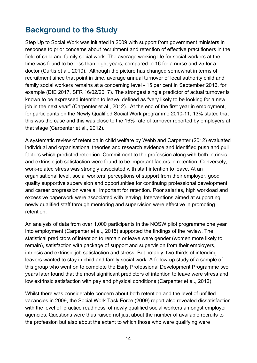# <span id="page-13-0"></span>**Background to the Study**

Step Up to Social Work was initiated in 2009 with support from government ministers in response to prior concerns about recruitment and retention of effective practitioners in the field of child and family social work. The average working life for social workers at the time was found to be less than eight years, compared to 16 for a nurse and 25 for a doctor (Curtis et al., 2010). Although the picture has changed somewhat in terms of recruitment since that point in time, average annual turnover of local authority child and family social workers remains at a concerning level - 15 per cent in September 2016, for example (DfE 2017, SFR 16/02/2017). The strongest single predictor of actual turnover is known to be expressed intention to leave, defined as "very likely to be looking for a new job in the next year" (Carpenter et al., 2012). At the end of the first year in employment, for participants on the Newly Qualified Social Work programme 2010-11, 13% stated that this was the case and this was close to the 16% rate of turnover reported by employers at that stage (Carpenter et al., 2012).

A systematic review of retention in child welfare by Webb and Carpenter (2012) evaluated individual and organisational theories and research evidence and identified push and pull factors which predicted retention. Commitment to the profession along with both intrinsic and extrinsic job satisfaction were found to be important factors in retention. Conversely, work-related stress was strongly associated with staff intention to leave. At an organisational level, social workers' perceptions of support from their employer, good quality supportive supervision and opportunities for continuing professional development and career progression were all important for retention. Poor salaries, high workload and excessive paperwork were associated with leaving. Interventions aimed at supporting newly qualified staff through mentoring and supervision were effective in promoting retention.

An analysis of data from over 1,000 participants in the NQSW pilot programme one year into employment (Carpenter et al., 2015) supported the findings of the review. The statistical predictors of intention to remain or leave were gender (women more likely to remain), satisfaction with package of support and supervision from their employers, intrinsic and extrinsic job satisfaction and stress. But notably, two-thirds of intending leavers wanted to stay in child and family social work. A follow-up study of a sample of this group who went on to complete the Early Professional Development Programme two years later found that the most significant predictors of intention to leave were stress and low extrinsic satisfaction with pay and physical conditions (Carpenter et al., 2012).

Whilst there was considerable concern about both retention and the level of unfilled vacancies in 2009, the Social Work Task Force (2009) report also revealed dissatisfaction with the level of 'practice readiness' of newly qualified social workers amongst employer agencies. Questions were thus raised not just about the number of available recruits to the profession but also about the extent to which those who were qualifying were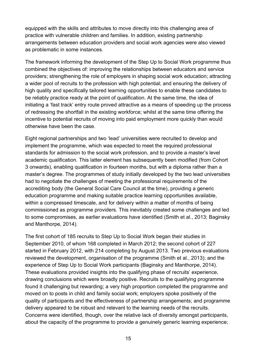equipped with the skills and attributes to move directly into this challenging area of practice with vulnerable children and families. In addition, existing partnership arrangements between education providers and social work agencies were also viewed as problematic in some instances.

The framework informing the development of the Step Up to Social Work programme thus combined the objectives of: improving the relationships between educators and service providers; strengthening the role of employers in shaping social work education; attracting a wider pool of recruits to the profession with high potential; and ensuring the delivery of high quality and specifically tailored learning opportunities to enable these candidates to be reliably practice ready at the point of qualification. At the same time, the idea of initiating a 'fast track' entry route proved attractive as a means of speeding up the process of redressing the shortfall in the existing workforce; whilst at the same time offering the incentive to potential recruits of moving into paid employment more quickly than would otherwise have been the case.

Eight regional partnerships and two 'lead' universities were recruited to develop and implement the programme, which was expected to meet the required professional standards for admission to the social work profession, and to provide a master's level academic qualification. This latter element has subsequently been modified (from Cohort 3 onwards), enabling qualification in fourteen months, but with a diploma rather than a master's degree. The programmes of study initially developed by the two lead universities had to negotiate the challenges of meeting the professional requirements of the accrediting body (the General Social Care Council at the time), providing a generic education programme and making suitable practice learning opportunities available, within a compressed timescale, and for delivery within a matter of months of being commissioned as programme providers. This inevitably created some challenges and led to some compromises, as earlier evaluations have identified (Smith et al., 2013; Baginsky and Manthorpe, 2014).

The first cohort of 185 recruits to Step Up to Social Work began their studies in September 2010, of whom 168 completed in March 2012; the second cohort of 227 started in February 2012, with 214 completing by August 2013. Two previous evaluations reviewed the development, organisation of the programme (Smith et al., 2013); and the experience of Step Up to Social Work participants (Baginsky and Manthorpe, 2014). These evaluations provided insights into the qualifying phase of recruits' experience, drawing conclusions which were broadly positive. Recruits to the qualifying programme found it challenging but rewarding; a very high proportion completed the programme and moved on to posts in child and family social work; employers spoke positively of the quality of participants and the effectiveness of partnership arrangements; and programme delivery appeared to be robust and relevant to the learning needs of the recruits. Concerns were identified, though, over the relative lack of diversity amongst participants, about the capacity of the programme to provide a genuinely generic learning experience;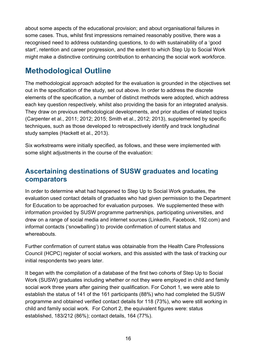about some aspects of the educational provision; and about organisational failures in some cases. Thus, whilst first impressions remained reasonably positive, there was a recognised need to address outstanding questions, to do with sustainability of a 'good start', retention and career progression, and the extent to which Step Up to Social Work might make a distinctive continuing contribution to enhancing the social work workforce.

# <span id="page-15-0"></span>**Methodological Outline**

The methodological approach adopted for the evaluation is grounded in the objectives set out in the specification of the study, set out above. In order to address the discrete elements of the specification, a number of distinct methods were adopted, which address each key question respectively, whilst also providing the basis for an integrated analysis. They draw on previous methodological developments, and prior studies of related topics (Carpenter et al., 2011; 2012; 2015; Smith et al., 2012; 2013), supplemented by specific techniques, such as those developed to retrospectively identify and track longitudinal study samples (Hackett et al., 2013).

Six workstreams were initially specified, as follows, and these were implemented with some slight adjustments in the course of the evaluation:

# <span id="page-15-1"></span>**Ascertaining destinations of SUSW graduates and locating comparators**

In order to determine what had happened to Step Up to Social Work graduates, the evaluation used contact details of graduates who had given permission to the Department for Education to be approached for evaluation purposes. We supplemented these with information provided by SUSW programme partnerships, participating universities, and drew on a range of social media and internet sources (LinkedIn, Facebook, 192.com) and informal contacts ('snowballing') to provide confirmation of current status and whereabouts.

Further confirmation of current status was obtainable from the Health Care Professions Council (HCPC) register of social workers, and this assisted with the task of tracking our initial respondents two years later.

It began with the compilation of a database of the first two cohorts of Step Up to Social Work (SUSW) graduates including whether or not they were employed in child and family social work three years after gaining their qualification. For Cohort 1, we were able to establish the status of 141 of the 161 participants (88%) who had completed the SUSW programme and obtained verified contact details for 118 (73%), who were still working in child and family social work. For Cohort 2, the equivalent figures were: status established, 183/212 (86%); contact details, 164 (77%).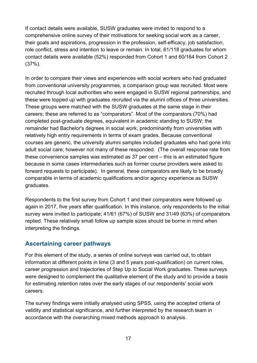If contact details were available, SUSW graduates were invited to respond to a comprehensive online survey of their motivations for seeking social work as a career, their goals and aspirations, progression in the profession, self-efficacy, job satisfaction, role conflict, stress and intention to leave or remain. In total, 61/118 graduates for whom contact details were available (52%) responded from Cohort 1 and 60/164 from Cohort 2 (37%).

In order to compare their views and experiences with social workers who had graduated from conventional university programmes, a comparison group was recruited. Most were recruited through local authorities who were engaged in SUSW regional partnerships, and these were topped up with graduates recruited via the alumni offices of three universities. These groups were matched with the SUSW graduates at the same stage in their careers; these are referred to as "comparators". Most of the comparators (70%) had completed post-graduate degrees, equivalent in academic standing to SUSW; the remainder had Bachelor's degrees in social work, predominantly from universities with relatively high entry requirements in terms of exam grades. Because conventional courses are generic, the university alumni samples included graduates who had gone into adult social care; however not many of these responded. (The overall response rate from these convenience samples was estimated as 37 per cent – this is an estimated figure because in some cases intermediaries such as former course providers were asked to forward requests to participate). In general, these comparators are likely to be broadly comparable in terms of academic qualifications and/or agency experience as SUSW graduates.

Respondents to the first survey from Cohort 1 and their comparators were followed up again in 2017, five years after qualification. In this instance, only respondents to the initial survey were invited to participate; 41/61 (67%) of SUSW and 31/49 (63%) of comparators replied. These relatively small follow up sample sizes should be borne in mind when interpreting the findings.

#### <span id="page-16-0"></span>**Ascertaining career pathways**

For this element of the study, a series of online surveys was carried out, to obtain information at different points in time (3 and 5 years post-qualification) on current roles, career progression and trajectories of Step Up to Social Work graduates. These surveys were designed to complement the qualitative element of the study and to provide a basis for estimating retention rates over the early stages of our respondents' social work careers.

The survey findings were initially analysed using SPSS, using the accepted criteria of validity and statistical significance, and further interpreted by the research team in accordance with the overarching mixed methods approach to analysis.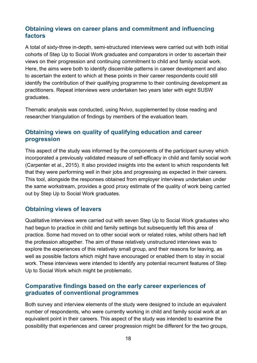#### <span id="page-17-0"></span>**Obtaining views on career plans and commitment and influencing factors**

A total of sixty-three in-depth, semi-structured interviews were carried out with both initial cohorts of Step Up to Social Work graduates and comparators in order to ascertain their views on their progression and continuing commitment to child and family social work. Here, the aims were both to identify discernible patterns in career development and also to ascertain the extent to which at these points in their career respondents could still identify the contribution of their qualifying programme to their continuing development as practitioners. Repeat interviews were undertaken two years later with eight SUSW graduates.

Thematic analysis was conducted, using Nvivo, supplemented by close reading and researcher triangulation of findings by members of the evaluation team.

#### <span id="page-17-1"></span>**Obtaining views on quality of qualifying education and career progression**

This aspect of the study was informed by the components of the participant survey which incorporated a previously validated measure of self-efficacy in child and family social work (Carpenter et al., 2015). It also provided insights into the extent to which respondents felt that they were performing well in their jobs and progressing as expected in their careers. This tool, alongside the responses obtained from employer interviews undertaken under the same workstream, provides a good proxy estimate of the quality of work being carried out by Step Up to Social Work graduates.

#### <span id="page-17-2"></span>**Obtaining views of leavers**

Qualitative interviews were carried out with seven Step Up to Social Work graduates who had begun to practice in child and family settings but subsequently left this area of practice. Some had moved on to other social work or related roles, whilst others had left the profession altogether. The aim of these relatively unstructured interviews was to explore the experiences of this relatively small group, and their reasons for leaving, as well as possible factors which might have encouraged or enabled them to stay in social work. These interviews were intended to identify any potential recurrent features of Step Up to Social Work which might be problematic.

#### <span id="page-17-3"></span>**Comparative findings based on the early career experiences of graduates of conventional programmes**

Both survey and interview elements of the study were designed to include an equivalent number of respondents, who were currently working in child and family social work at an equivalent point in their careers. This aspect of the study was intended to examine the possibility that experiences and career progression might be different for the two groups,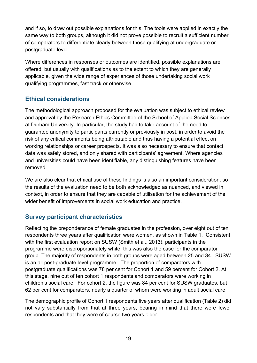and if so, to draw out possible explanations for this. The tools were applied in exactly the same way to both groups, although it did not prove possible to recruit a sufficient number of comparators to differentiate clearly between those qualifying at undergraduate or postgraduate level.

Where differences in responses or outcomes are identified, possible explanations are offered, but usually with qualifications as to the extent to which they are generally applicable, given the wide range of experiences of those undertaking social work qualifying programmes, fast track or otherwise.

#### <span id="page-18-0"></span>**Ethical considerations**

The methodological approach proposed for the evaluation was subject to ethical review and approval by the Research Ethics Committee of the School of Applied Social Sciences at Durham University. In particular, the study had to take account of the need to guarantee anonymity to participants currently or previously in post, in order to avoid the risk of any critical comments being attributable and thus having a potential effect on working relationships or career prospects. It was also necessary to ensure that contact data was safely stored, and only shared with participants' agreement. Where agencies and universities could have been identifiable, any distinguishing features have been removed.

We are also clear that ethical use of these findings is also an important consideration, so the results of the evaluation need to be both acknowledged as nuanced, and viewed in context, in order to ensure that they are capable of utilisation for the achievement of the wider benefit of improvements in social work education and practice.

#### <span id="page-18-1"></span>**Survey participant characteristics**

Reflecting the preponderance of female graduates in the profession, over eight out of ten respondents three years after qualification were women, as shown in Table 1. Consistent with the first evaluation report on SUSW (Smith et al., 2013), participants in the programme were disproportionately white; this was also the case for the comparator group. The majority of respondents in both groups were aged between 25 and 34. SUSW is an all post-graduate level programme. The proportion of comparators with postgraduate qualifications was 78 per cent for Cohort 1 and 59 percent for Cohort 2. At this stage, nine out of ten cohort 1 respondents and comparators were working in children's social care. For cohort 2, the figure was 84 per cent for SUSW graduates, but 62 per cent for comparators, nearly a quarter of whom were working in adult social care.

The demographic profile of Cohort 1 respondents five years after qualification (Table 2) did not vary substantially from that at three years, bearing in mind that there were fewer respondents and that they were of course two years older.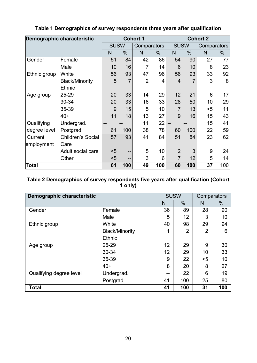<span id="page-19-1"></span>

| Demographic characteristic |                          | <b>Cohort 1</b> |     |                |     | <b>Cohort 2</b> |      |             |     |
|----------------------------|--------------------------|-----------------|-----|----------------|-----|-----------------|------|-------------|-----|
|                            |                          | <b>SUSW</b>     |     | Comparators    |     | <b>SUSW</b>     |      | Comparators |     |
|                            |                          | N               | %   | N              | %   | N               | $\%$ | N           | %   |
| Gender                     | Female                   | 51              | 84  | 42             | 86  | 54              | 90   | 27          | 77  |
|                            | Male                     | 10              | 16  | 7              | 14  | 6               | 10   | 8           | 23  |
| Ethnic group               | White                    | 56              | 93  | 47             | 96  | 56              | 93   | 33          | 92  |
|                            | <b>Black/Minority</b>    | 5               | 7   | $\overline{2}$ | 4   | $\overline{4}$  | 7    | 3           | 8   |
|                            | <b>Ethnic</b>            |                 |     |                |     |                 |      |             |     |
| Age group                  | 25-29                    | 20              | 33  | 14             | 29  | 12              | 21   | 6           | 17  |
|                            | 30-34                    | 20              | 33  | 16             | 33  | 28              | 50   | 10          | 29  |
|                            | 35-39                    | 9               | 15  | 5              | 10  | 7               | 13   | $5$         | 11  |
|                            | $40+$                    | 11              | 18  | 13             | 27  | 9               | 16   | 15          | 43  |
| Qualifying                 | Undergrad.               | $-$             |     | 11             | 22  | --              |      | 15          | 41  |
| degree level               | Postgrad                 | 61              | 100 | 38             | 78  | 60              | 100  | 22          | 59  |
| Current                    | <b>Children's Social</b> | 57              | 93  | 41             | 84  | 51              | 84   | 23          | 62  |
| employment                 | Care                     |                 |     |                |     |                 |      |             |     |
|                            | Adult social care        | $5$             | --  | 5              | 10  | $\overline{2}$  | 3    | 9           | 24  |
|                            | Other                    | $5$             |     | 3              | 6   | $\overline{7}$  | 12   | 5           | 14  |
| Total                      |                          | 61              | 100 | 49             | 100 | 60              | 100  | 37          | 100 |

#### **Table 1 Demographics of survey respondents three years after qualification**

#### <span id="page-19-2"></span>**Table 2 Demographics of survey respondents five years after qualification (Cohort 1 only)**

<span id="page-19-0"></span>

| Demographic characteristic |                       | <b>SUSW</b> |                | Comparators    |      |  |
|----------------------------|-----------------------|-------------|----------------|----------------|------|--|
|                            |                       | N           | $\frac{0}{0}$  | N              | $\%$ |  |
| Gender                     | Female                | 36          | 89             | 28             | 90   |  |
|                            | Male                  | 5           | 12             | 3              | 10   |  |
| Ethnic group               | White                 | 40          | 98             | 29             | 94   |  |
|                            | <b>Black/Minority</b> | 1           | $\overline{2}$ | $\overline{2}$ | 6    |  |
|                            | Ethnic                |             |                |                |      |  |
| Age group                  | 25-29                 | 12          | 29             | 9              | 30   |  |
|                            | 30-34                 | 12          | 29             | 10             | 33   |  |
|                            | 35-39                 | 9           | 22             | $5$            | 10   |  |
|                            | $40+$                 | 8           | 20             | 8              | 27   |  |
| Qualifying degree level    | Undergrad.            | --          | 22             | 6              | 19   |  |
|                            | Postgrad              | 41          | 100            | 25             | 80   |  |
| <b>Total</b>               |                       | 41          | 100            | 31             | 100  |  |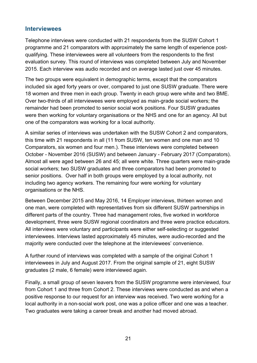#### **Interviewees**

Telephone interviews were conducted with 21 respondents from the SUSW Cohort 1 programme and 21 comparators with approximately the same length of experience postqualifying. These interviewees were all volunteers from the respondents to the first evaluation survey. This round of interviews was completed between July and November 2015. Each interview was audio recorded and on average lasted just over 45 minutes.

The two groups were equivalent in demographic terms, except that the comparators included six aged forty years or over, compared to just one SUSW graduate. There were 18 women and three men in each group. Twenty in each group were white and two BME. Over two-thirds of all interviewees were employed as main-grade social workers; the remainder had been promoted to senior social work positions. Four SUSW graduates were then working for voluntary organisations or the NHS and one for an agency. All but one of the comparators was working for a local authority.

A similar series of interviews was undertaken with the SUSW Cohort 2 and comparators, this time with 21 respondents in all (11 from SUSW, ten women and one man and 10 Comparators, six women and four men.). These interviews were completed between October - November 2016 (SUSW) and between January - February 2017 (Comparators). Almost all were aged between 26 and 45; all were white. Three quarters were main-grade social workers; two SUSW graduates and three comparators had been promoted to senior positions. Over half in both groups were employed by a local authority, not including two agency workers. The remaining four were working for voluntary organisations or the NHS.

Between December 2015 and May 2016, 14 Employer interviews, thirteen women and one man, were completed with representatives from six different SUSW partnerships in different parts of the country. Three had management roles, five worked in workforce development, three were SUSW regional coordinators and three were practice educators. All interviews were voluntary and participants were either self-selecting or suggested interviewees. Interviews lasted approximately 45 minutes, were audio-recorded and the majority were conducted over the telephone at the interviewees' convenience.

A further round of interviews was completed with a sample of the original Cohort 1 interviewees in July and August 2017. From the original sample of 21, eight SUSW graduates (2 male, 6 female) were interviewed again.

Finally, a small group of seven leavers from the SUSW programme were interviewed, four from Cohort 1 and three from Cohort 2. These interviews were conducted as and when a positive response to our request for an interview was received. Two were working for a local authority in a non-social work post, one was a police officer and one was a teacher. Two graduates were taking a career break and another had moved abroad.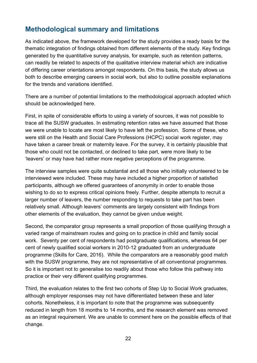# <span id="page-21-0"></span>**Methodological summary and limitations**

As indicated above, the framework developed for the study provides a ready basis for the thematic integration of findings obtained from different elements of the study. Key findings generated by the quantitative survey analysis, for example, such as retention patterns, can readily be related to aspects of the qualitative interview material which are indicative of differing career orientations amongst respondents. On this basis, the study allows us both to describe emerging careers in social work, but also to outline possible explanations for the trends and variations identified.

There are a number of potential limitations to the methodological approach adopted which should be acknowledged here.

First, in spite of considerable efforts to using a variety of sources, it was not possible to trace all the SUSW graduates. In estimating retention rates we have assumed that those we were unable to locate are most likely to have left the profession. Some of these, who were still on the Health and Social Care Professions (HCPC) social work register, may have taken a career break or maternity leave. For the survey, it is certainly plausible that those who could not be contacted, or declined to take part, were more likely to be 'leavers' or may have had rather more negative perceptions of the programme.

The interview samples were quite substantial and all those who initially volunteered to be interviewed were included. These may have included a higher proportion of satisfied participants, although we offered guarantees of anonymity in order to enable those wishing to do so to express critical opinions freely. Further, despite attempts to recruit a larger number of leavers, the number responding to requests to take part has been relatively small. Although leavers' comments are largely consistent with findings from other elements of the evaluation, they cannot be given undue weight.

Second, the comparator group represents a small proportion of those qualifying through a varied range of mainstream routes and going on to practice in child and family social work. Seventy per cent of respondents had postgraduate qualifications, whereas 64 per cent of newly qualified social workers in 2010-12 graduated from an undergraduate programme (Skills for Care, 2016). While the comparators are a reasonably good match with the SUSW programme, they are not representative of all conventional programmes. So it is important not to generalise too readily about those who follow this pathway into practice or their very different qualifying programmes.

Third, the evaluation relates to the first two cohorts of Step Up to Social Work graduates, although employer responses may not have differentiated between these and later cohorts. Nonetheless, it is important to note that the programme was subsequently reduced in length from 18 months to 14 months, and the research element was removed as an integral requirement. We are unable to comment here on the possible effects of that change.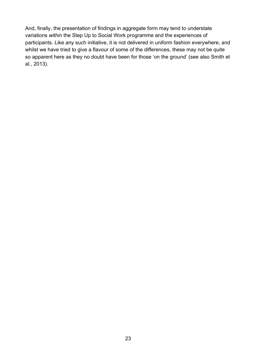And, finally, the presentation of findings in aggregate form may tend to understate variations *within* the Step Up to Social Work programme and the experiences of participants. Like any such initiative, it is not delivered in uniform fashion everywhere, and whilst we have tried to give a flavour of some of the differences, these may not be quite so apparent here as they no doubt have been for those 'on the ground' (see also Smith et al., 2013).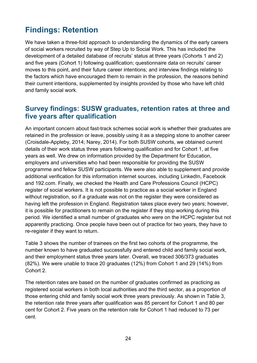# <span id="page-23-0"></span>**Findings: Retention**

We have taken a three-fold approach to understanding the dynamics of the early careers of social workers recruited by way of Step Up to Social Work. This has included the development of a detailed database of recruits' status at three years (Cohorts 1 and 2) and five years (Cohort 1) following qualification; questionnaire data on recruits' career moves to this point, and their future career intentions; and interview findings relating to the factors which have encouraged them to remain in the profession, the reasons behind their current intentions, supplemented by insights provided by those who have left child and family social work.

## <span id="page-23-1"></span>**Survey findings: SUSW graduates, retention rates at three and five years after qualification**

An important concern about fast-track schemes social work is whether their graduates are retained in the profession or leave, possibly using it as a stepping stone to another career (Croisdale-Appleby, 2014; Narey, 2014). For both SUSW cohorts, we obtained current details of their work status three years following qualification and for Cohort 1, at five years as well. We drew on information provided by the Department for Education, employers and universities who had been responsible for providing the SUSW programme and fellow SUSW participants. We were also able to supplement and provide additional verification for this information internet sources, including LinkedIn, Facebook and 192.com. Finally, we checked the Health and Care Professions Council (HCPC) register of social workers. It is not possible to practice as a social worker in England without registration, so if a graduate was not on the register they were considered as having left the profession in England. Registration takes place every two years; however, it is possible for practitioners to remain on the register if they stop working during this period. We identified a small number of graduates who were on the HCPC register but not apparently practicing. Once people have been out of practice for two years, they have to re-register if they want to return.

Table 3 shows the number of trainees on the first two cohorts of the programme, the number known to have graduated successfully and entered child and family social work, and their employment status three years later. Overall, we traced 306/373 graduates (82%). We were unable to trace 20 graduates (12%) from Cohort 1 and 29 (14%) from Cohort 2.

The retention rates are based on the number of graduates confirmed as practicing as registered social workers in both local authorities and the third sector, as a proportion of those entering child and family social work three years previously. As shown in Table 3, the retention rate three years after qualification was 85 percent for Cohort 1 and 80 per cent for Cohort 2. Five years on the retention rate for Cohort 1 had reduced to 73 per cent.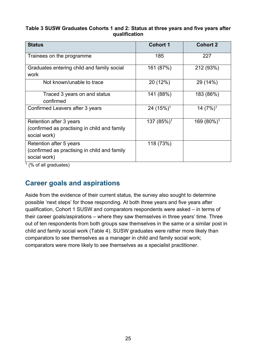#### <span id="page-24-1"></span>**Table 3 SUSW Graduates Cohorts 1 and 2: Status at three years and five years after qualification**

| <b>Status</b>                                                                           | <b>Cohort 1</b>        | <b>Cohort 2</b>        |
|-----------------------------------------------------------------------------------------|------------------------|------------------------|
| Trainees on the programme                                                               | 185                    | 227                    |
| Graduates entering child and family social<br>work                                      | 161 (87%)              | 212 (93%)              |
| Not known/unable to trace                                                               | 20 (12%)               | 29 (14%)               |
| Traced 3 years on and status<br>confirmed                                               | 141 (88%)              | 183 (86%)              |
| Confirmed Leavers after 3 years                                                         | 24(15%) <sup>1</sup>   | 14 $(7%)$ <sup>1</sup> |
| Retention after 3 years<br>(confirmed as practising in child and family<br>social work) | 137 (85%) <sup>1</sup> | 169 (80%) <sup>1</sup> |
| Retention after 5 years<br>(confirmed as practising in child and family<br>social work) | 118 (73%)              |                        |

 $\frac{1}{1}$  (% of all graduates)

# <span id="page-24-0"></span>**Career goals and aspirations**

Aside from the evidence of their current status, the survey also sought to determine possible 'next steps' for those responding. At both three years and five years after qualification, Cohort 1 SUSW and comparators respondents were asked – in terms of their career goals/aspirations – where they saw themselves in three years' time. Three out of ten respondents from both groups saw themselves in the same or a similar post in child and family social work (Table 4). SUSW graduates were rather more likely than comparators to see themselves as a manager in child and family social work; comparators were more likely to see themselves as a specialist practitioner.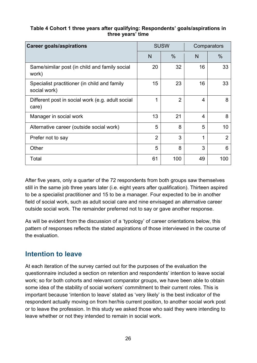#### <span id="page-25-1"></span>**Table 4 Cohort 1 three years after qualifying: Respondents' goals/aspirations in three years' time**

| <b>Career goals/aspirations</b>                              | <b>SUSW</b>    |                | Comparators |                |  |  |
|--------------------------------------------------------------|----------------|----------------|-------------|----------------|--|--|
|                                                              | N              | $\frac{0}{0}$  | N           | $\%$           |  |  |
| Same/similar post (in child and family social<br>work)       | 20             | 32             | 16          | 33             |  |  |
| Specialist practitioner (in child and family<br>social work) | 15             | 23             | 16          | 33             |  |  |
| Different post in social work (e.g. adult social<br>care)    | 1              | $\overline{2}$ | 4           | 8              |  |  |
| Manager in social work                                       | 13             | 21             | 4           | 8              |  |  |
| Alternative career (outside social work)                     | 5              | 8              | 5           | 10             |  |  |
| Prefer not to say                                            | $\overline{2}$ | 3              | 1           | $\overline{2}$ |  |  |
| Other                                                        | 5              | 8              | 3           | 6              |  |  |
| Total                                                        | 61             | 100            | 49          | 100            |  |  |

After five years, only a quarter of the 72 respondents from both groups saw themselves still in the same job three years later (i.e. eight years after qualification). Thirteen aspired to be a specialist practitioner and 15 to be a manager. Four expected to be in another field of social work, such as adult social care and nine envisaged an alternative career outside social work. The remainder preferred not to say or gave another response.

As will be evident from the discussion of a 'typology' of career orientations below, this pattern of responses reflects the stated aspirations of those interviewed in the course of the evaluation.

## <span id="page-25-0"></span>**Intention to leave**

At each iteration of the survey carried out for the purposes of the evaluation the questionnaire included a section on retention and respondents' intention to leave social work; so for both cohorts and relevant comparator groups, we have been able to obtain some idea of the stability of social workers' commitment to their current roles. This is important because 'intention to leave' stated as 'very likely' is the best indicator of the respondent actually moving on from her/his current position, to another social work post or to leave the profession. In this study we asked those who said they were intending to leave whether or not they intended to remain in social work.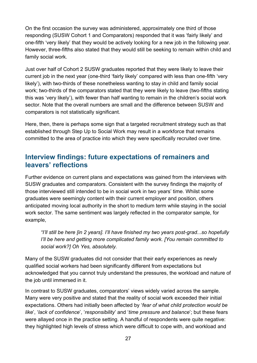On the first occasion the survey was administered, approximately one third of those responding (SUSW Cohort 1 and Comparators) responded that it was 'fairly likely' and one-fifth 'very likely' that they would be actively looking for a new job in the following year. However, three-fifths also stated that they would still be seeking to remain within child and family social work.

Just over half of Cohort 2 SUSW graduates reported that they were likely to leave their current job in the next year (one-third 'fairly likely' compared with less than one-fifth 'very likely'), with two-thirds of these nonetheless wanting to stay in child and family social work; two-thirds of the comparators stated that they were likely to leave (two-fifths stating this was 'very likely'), with fewer than half wanting to remain in the children's social work sector. Note that the overall numbers are small and the difference between SUSW and comparators is not statistically significant.

Here, then, there is perhaps some sign that a targeted recruitment strategy such as that established through Step Up to Social Work may result in a workforce that remains committed to the area of practice into which they were specifically recruited over time.

## <span id="page-26-0"></span>**Interview findings: future expectations of remainers and leavers' reflections**

Further evidence on current plans and expectations was gained from the interviews with SUSW graduates and comparators. Consistent with the survey findings the majority of those interviewed still intended to be in social work in two years' time. Whilst some graduates were seemingly content with their current employer and position, others anticipated moving local authority in the short to medium term while staying in the social work sector. The same sentiment was largely reflected in the comparator sample, for example,

*"I'll still be here [in 2 years]. I'll have finished my two years post-grad...so hopefully I'll be here and getting more complicated family work. [You remain committed to social work?] Oh Yes, absolutely.*

Many of the SUSW graduates did not consider that their early experiences as newly qualified social workers had been significantly different from expectations but acknowledged that you cannot truly understand the pressures, the workload and nature of the job until immersed in it.

In contrast to SUSW graduates, comparators' views widely varied across the sample. Many were very positive and stated that the reality of social work exceeded their initial expectations. Others had initially been affected by '*fear of what child protection would be like*', '*lack of confidence*', '*responsibility*' and '*time pressure and balance*'; but these fears were allayed once in the practice setting. A handful of respondents were quite negative: they highlighted high levels of stress which were difficult to cope with, and workload and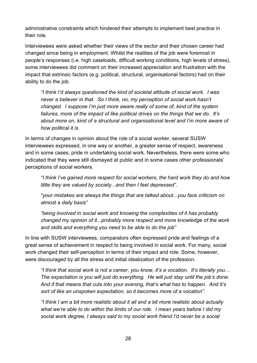administrative constraints which hindered their attempts to implement best practice in their role.

Interviewees were asked whether their views of the sector and their chosen career had changed since being in employment. Whilst the realities of the job were foremost in people's responses (i.e. high caseloads, difficult working conditions, high levels of stress), some interviewees did comment on their increased appreciation and frustration with the impact that extrinsic factors (e.g. political, structural, organisational factors) had on their ability to do the job.

*"I think I'd always questioned the kind of societal attitude of social work. I was never a believer in that. So I think, no, my perception of social work hasn't changed. I suppose I'm just more aware really of some of, kind of the system failures, more of the impact of like political drives on the things that we do. It's about more on, kind of a structural and organisational level and I'm more aware of how political it is.* 

In terms of changes in opinion about the role of a social worker, several SUSW interviewees expressed, in one way or another, a greater sense of respect, awareness and in some cases, pride in undertaking social work. Nevertheless, there were some who indicated that they were still dismayed at public and in some cases other professionals' perceptions of social workers.

*"I think I've gained more respect for social workers, the hard work they do and how little they are valued by society...and then I feel depressed".*

*"your mistakes are always the things that are talked about...you face criticism on almost a daily basis"*

*"being involved in social work and knowing the complexities of it has probably changed my opinion of it...probably more respect and more knowledge of the work and skills and everything you need to be able to do the job"*

In line with SUSW interviewees, comparators often expressed pride and feelings of a great sense of achievement in respect to being involved in social work. For many, social work changed their self-perception in terms of their impact and role. Some, however, were discouraged by all the stress and initial idealization of the profession.

*"I think that social work is not a career, you know, it's a vocation. It's literally you… The expectation is you will just do everything. He will just stay until the job's done. And if that means that cuts into your evening, that's what has to happen. And it's sort of like an unspoken expectation, so it becomes more of a vocation".* 

*"I think I am a bit more realistic about it all and a bit more realistic about actually what we're able to do within the limits of our role. I mean years before I did my social work degree, I always said to my social work friend I'd never be a social*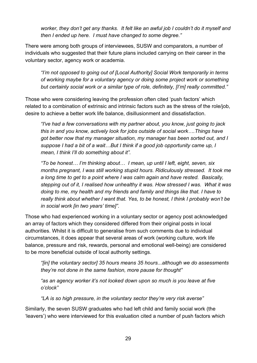*worker, they don't get any thanks. It felt like an awful job I couldn't do it myself and then I ended up here. I must have changed to some degree."*

There were among both groups of interviewees, SUSW and comparators, a number of individuals who suggested that their future plans included carrying on their career in the voluntary sector, agency work or academia.

*"I'm not opposed to going out of [Local Authority] Social Work temporarily in terms of working maybe for a voluntary agency or doing some project work or something but certainly social work or a similar type of role, definitely, [I'm] really committed."*

Those who were considering leaving the profession often cited 'push factors' which related to a combination of extrinsic and intrinsic factors such as the stress of the role/job, desire to achieve a better work life balance, disillusionment and dissatisfaction.

*"I've had a few conversations with my partner about, you know, just going to jack this in and you know, actively look for jobs outside of social work….Things have got better now that my manager situation, my manager has been sorted out, and I suppose I had a bit of a wait…But I think if a good job opportunity came up, I mean, I think I'll do something about it".* 

*"To be honest… I'm thinking about… I mean, up until I left, eight, seven, six months pregnant, I was still working stupid hours. Ridiculously stressed. It took me a long time to get to a point where I was calm again and have rested. Basically, stepping out of it, I realised how unhealthy it was. How stressed I was. What it was doing to me, my health and my friends and family and things like that. I have to really think about whether I want that. Yes, to be honest, I think I probably won't be in social work [in two years' time]".*

Those who had experienced working in a voluntary sector or agency post acknowledged an array of factors which they considered differed from their original posts in local authorities. Whilst it is difficult to generalise from such comments due to individual circumstances, it does appear that several areas of work (working culture, work life balance, pressure and risk, rewards, personal and emotional well-being) are considered to be more beneficial outside of local authority settings.

*"[in] the voluntary sector] 35 hours means 35 hours...although we do assessments they're not done in the same fashion, more pause for thought"*

*"as an agency worker it's not looked down upon so much is you leave at five o'clock"*

*"LA is so high pressure, in the voluntary sector they're very risk averse"*

Similarly, the seven SUSW graduates who had left child and family social work (the 'leavers') who were interviewed for this evaluation cited a number of push factors which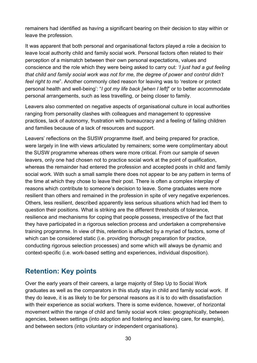remainers had identified as having a significant bearing on their decision to stay within or leave the profession.

It was apparent that both personal and organisational factors played a role a decision to leave local authority child and family social work. Personal factors often related to their perception of a mismatch between their own personal expectations, values and conscience and the role which they were being asked to carry out: *'I just had a gut feeling that child and family social work was not for me, the degree of power and control didn't feel right to me*". Another commonly cited reason for leaving was to 'restore or protect personal health and well-being': "*I got my life back [when I left]*" or to better accommodate personal arrangements, such as less travelling, or being closer to family.

Leavers also commented on negative aspects of organisational culture in local authorities ranging from personality clashes with colleagues and management to oppressive practices, lack of autonomy, frustration with bureaucracy and a feeling of failing children and families because of a lack of resources and support.

Leavers' reflections on the SUSW programme itself, and being prepared for practice, were largely in line with views articulated by remainers; some were complimentary about the SUSW programme whereas others were more critical. From our sample of seven leavers, only one had chosen not to practice social work at the point of qualification, whereas the remainder had entered the profession and accepted posts in child and family social work. With such a small sample there does not appear to be any pattern in terms of the time at which they chose to leave their post. There is often a complex interplay of reasons which contribute to someone's decision to leave. Some graduates were more resilient than others and remained in the profession in spite of very negative experiences. Others, less resilient, described apparently less serious situations which had led them to question their positions. What is striking are the different thresholds of tolerance, resilience and mechanisms for coping that people possess, irrespective of the fact that they have participated in a rigorous selection process and undertaken a comprehensive training programme. In view of this, retention is affected by a myriad of factors, some of which can be considered static (i.e. providing thorough preparation for practice, conducting rigorous selection processes) and some which will always be dynamic and context-specific (i.e. work-based setting and experiences, individual disposition).

## <span id="page-29-0"></span>**Retention: Key points**

Over the early years of their careers, a large majority of Step Up to Social Work graduates as well as the comparators in this study stay in child and family social work. If they do leave, it is as likely to be for personal reasons as it is to do with dissatisfaction with their experience as social workers. There is some evidence, however, of horizontal movement within the range of child and family social work roles: geographically, between agencies, between settings (into adoption and fostering and leaving care, for example), and between sectors (into voluntary or independent organisations).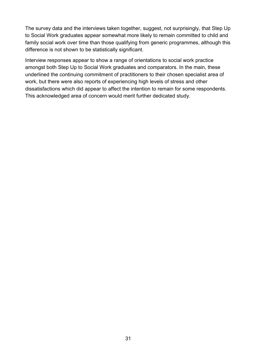The survey data and the interviews taken together, suggest, not surprisingly, that Step Up to Social Work graduates appear somewhat more likely to remain committed to child and family social work over time than those qualifying from generic programmes, although this difference is not shown to be statistically significant.

Interview responses appear to show a range of orientations to social work practice amongst both Step Up to Social Work graduates and comparators. In the main, these underlined the continuing commitment of practitioners to their chosen specialist area of work, but there were also reports of experiencing high levels of stress and other dissatisfactions which did appear to affect the intention to remain for some respondents. This acknowledged area of concern would merit further dedicated study.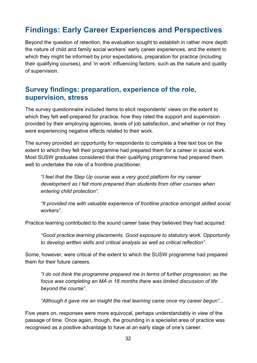# <span id="page-31-0"></span>**Findings: Early Career Experiences and Perspectives**

Beyond the question of retention, the evaluation sought to establish in rather more depth the nature of child and family social workers' early career experiences, and the extent to which they might be informed by prior expectations, preparation for practice (including their qualifying courses), and 'in work' influencing factors, such as the nature and quality of supervision.

## <span id="page-31-1"></span>**Survey findings: preparation, experience of the role, supervision, stress**

The survey questionnaire included items to elicit respondents' views on the extent to which they felt well-prepared for practice, how they rated the support and supervision provided by their employing agencies, levels of job satisfaction, and whether or not they were experiencing negative effects related to their work.

The survey provided an opportunity for respondents to complete a free text box on the extent to which they felt their programme had prepared them for a career in social work. Most SUSW graduates considered that their qualifying programme had prepared them well to undertake the role of a frontline practitioner.

*"I feel that the Step Up course was a very good platform for my career development as I felt more prepared than students from other courses when entering child protection".*

*"It provided me with valuable experience of frontline practice amongst skilled social workers".*

Practice learning contributed to the sound career base they believed they had acquired:

*"Good practice learning placements. Good exposure to statutory work. Opportunity to develop written skills and critical analysis as well as critical reflection".*

Some, however, were critical of the extent to which the SUSW programme had prepared them for their future careers.

*"I do not think the programme prepared me in terms of further progression; as the focus was completing an MA in 18 months there was limited discussion of life beyond the course".*

*"Although it gave me an insight the real learning came once my career begun"...*

Five years on, responses were more equivocal, perhaps understandably in view of the passage of time. Once again, though, the grounding in a specialist area of practice was recognised as a positive advantage to have at an early stage of one's career.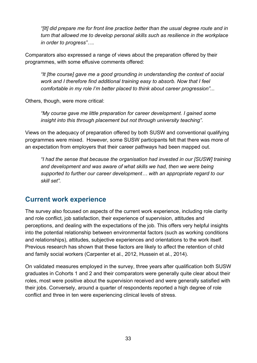*"[It] did prepare me for front line practice better than the usual degree route and in turn that allowed me to develop personal skills such as resilience in the workplace in order to progress"….*

Comparators also expressed a range of views about the preparation offered by their programmes, with some effusive comments offered:

*"It [the course] gave me a good grounding in understanding the context of social work and I therefore find additional training easy to absorb. Now that I feel comfortable in my role I'm better placed to think about career progression"...*

Others, though, were more critical:

*"My course gave me little preparation for career development. I gained some insight into this through placement but not through university teaching".*

Views on the adequacy of preparation offered by both SUSW and conventional qualifying programmes were mixed. However, some SUSW participants felt that there was more of an expectation from employers that their career pathways had been mapped out.

*"I had the sense that because the organisation had invested in our [SUSW] training and development and was aware of what skills we had, then we were being supported to further our career development… with an appropriate regard to our skill set".*

#### <span id="page-32-0"></span>**Current work experience**

The survey also focused on aspects of the current work experience, including role clarity and role conflict, job satisfaction, their experience of supervision, attitudes and perceptions, and dealing with the expectations of the job. This offers very helpful insights into the potential relationship between environmental factors (such as working conditions and relationships), attitudes, subjective experiences and orientations to the work itself. Previous research has shown that these factors are likely to affect the retention of child and family social workers (Carpenter et al., 2012, Hussein et al., 2014).

On validated measures employed in the survey, three years after qualification both SUSW graduates in Cohorts 1 and 2 and their comparators were generally quite clear about their roles, most were positive about the supervision received and were generally satisfied with their jobs. Conversely, around a quarter of respondents reported a high degree of role conflict and three in ten were experiencing clinical levels of stress.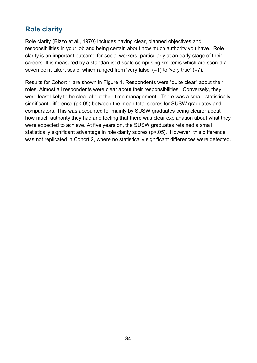# <span id="page-33-0"></span>**Role clarity**

Role clarity (Rizzo et al., 1970) includes having clear, planned objectives and responsibilities in your job and being certain about how much authority you have. Role clarity is an important outcome for social workers, particularly at an early stage of their careers. It is measured by a standardised scale comprising six items which are scored a seven point Likert scale, which ranged from 'very false' (=1) to 'very true' (=7).

Results for Cohort 1 are shown in Figure 1. Respondents were "quite clear" about their roles. Almost all respondents were clear about their responsibilities. Conversely, they were least likely to be clear about their time management. There was a small, statistically significant difference ( $p$ <.05) between the mean total scores for SUSW graduates and comparators. This was accounted for mainly by SUSW graduates being clearer about how much authority they had and feeling that there was clear explanation about what they were expected to achieve. At five years on, the SUSW graduates retained a small statistically significant advantage in role clarity scores (p<.05). However, this difference was not replicated in Cohort 2, where no statistically significant differences were detected.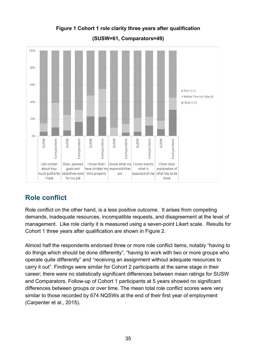<span id="page-34-1"></span>

**Figure 1 Cohort 1 role clarity three years after qualification** 

**(SUSW=61, Comparators=49)**

# <span id="page-34-0"></span>**Role conflict**

Role conflict on the other hand, is a less positive outcome. It arises from competing demands, inadequate resources, incompatible requests, and disagreement at the level of management. Like role clarity it is measured using a seven-point Likert scale. Results for Cohort 1 three years after qualification are shown in Figure 2.

<span id="page-34-2"></span>Almost half the respondents endorsed three or more role conflict items, notably "having to do things which should be done differently", "having to work with two or more groups who operate quite differently" and "receiving an assignment without adequate resources to carry it out". Findings were similar for Cohort 2 participants at the same stage in their career; there were no statistically significant differences between mean ratings for SUSW and Comparators. Follow-up of Cohort 1 participants at 5 years showed no significant differences between groups or over time. The mean total role conflict scores were very similar to those recorded by 674 NQSWs at the end of their first year of employment (Carpenter et al., 2015).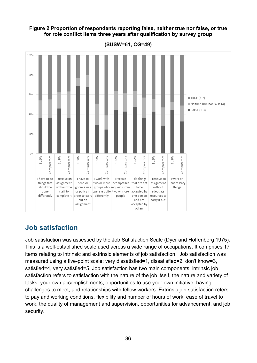#### **Figure 2 Proportion of respondents reporting false, neither true nor false, or true for role conflict items three years after qualification by survey group**



**(SUSW=61, CG=49)**

# <span id="page-35-0"></span>**Job satisfaction**

Job satisfaction was assessed by the Job Satisfaction Scale (Dyer and Hoffenberg 1975). This is a well-established scale used across a wide range of occupations. It comprises 17 items relating to intrinsic and extrinsic elements of job satisfaction. Job satisfaction was measured using a five-point scale; very dissatisfied=1, dissatisfied=2, don't know=3, satisfied=4, very satisfied=5. Job satisfaction has two main components: intrinsic job satisfaction refers to satisfaction with the nature of the job itself, the nature and variety of tasks, your own accomplishments, opportunities to use your own initiative, having challenges to meet, and relationships with fellow workers. Extrinsic job satisfaction refers to pay and working conditions, flexibility and number of hours of work, ease of travel to work, the quality of management and supervision, opportunities for advancement, and job security.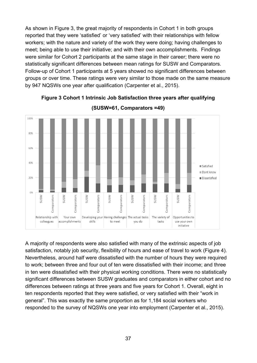As shown in Figure 3, the great majority of respondents in Cohort 1 in both groups reported that they were 'satisfied' or 'very satisfied' with their relationships with fellow workers; with the nature and variety of the work they were doing; having challenges to meet; being able to use their initiative; and with their own accomplishments. Findings were similar for Cohort 2 participants at the same stage in their career; there were no statistically significant differences between mean ratings for SUSW and Comparators. Follow-up of Cohort 1 participants at 5 years showed no significant differences between groups or over time. These ratings were very similar to those made on the same measure by 947 NQSWs one year after qualification (Carpenter et al., 2015).



**Figure 3 Cohort 1 Intrinsic Job Satisfaction three years after qualifying**

**(SUSW=61, Comparators =49)**

A majority of respondents were also satisfied with many of the extrinsic aspects of job satisfaction, notably job security, flexibility of hours and ease of travel to work (Figure 4). Nevertheless, around half were dissatisfied with the number of hours they were required to work; between three and four out of ten were dissatisfied with their income; and three in ten were dissatisfied with their physical working conditions. There were no statistically significant differences between SUSW graduates and comparators in either cohort and no differences between ratings at three years and five years for Cohort 1. Overall, eight in ten respondents reported that they were satisfied, or very satisfied with their "work in general". This was exactly the same proportion as for 1,184 social workers who responded to the survey of NQSWs one year into employment (Carpenter et al., 2015).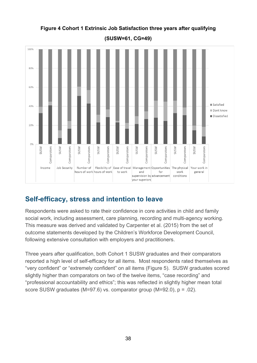

## **Figure 4 Cohort 1 Extrinsic Job Satisfaction three years after qualifying**

**(SUSW=61, CG=49)**

# **Self-efficacy, stress and intention to leave**

Respondents were asked to rate their confidence in core activities in child and family social work, including assessment, care planning, recording and multi-agency working. This measure was derived and validated by Carpenter et al. (2015) from the set of outcome statements developed by the Children's Workforce Development Council, following extensive consultation with employers and practitioners.

Three years after qualification, both Cohort 1 SUSW graduates and their comparators reported a high level of self-efficacy for all items. Most respondents rated themselves as "very confident" or "extremely confident" on all items (Figure 5). SUSW graduates scored slightly higher than comparators on two of the twelve items, "case recording" and "professional accountability and ethics"; this was reflected in slightly higher mean total score SUSW graduates (M=97.6) vs. comparator group (M=92.0), p = .02).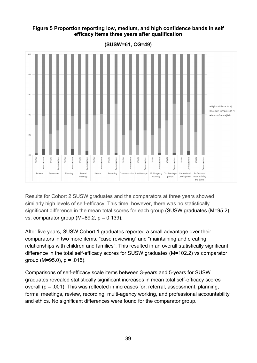#### **Figure 5 Proportion reporting low, medium, and high confidence bands in self efficacy items three years after qualification**



**(SUSW=61, CG=49)**

Results for Cohort 2 SUSW graduates and the comparators at three years showed similarly high levels of self-efficacy. This time, however, there was no statistically significant difference in the mean total scores for each group (SUSW graduates (M=95.2) vs. comparator group ( $M=89.2$ ,  $p = 0.139$ ).

After five years, SUSW Cohort 1 graduates reported a small advantage over their comparators in two more items, "case reviewing" and "maintaining and creating relationships with children and families". This resulted in an overall statistically significant difference in the total self-efficacy scores for SUSW graduates (M=102.2) vs comparator group (M=95.0),  $p = .015$ ).

Comparisons of self-efficacy scale items between 3-years and 5-years for SUSW graduates revealed statistically significant increases in mean total self-efficacy scores overall (p = .001). This was reflected in increases for: referral, assessment, planning, formal meetings, review, recording, multi-agency working, and professional accountability and ethics. No significant differences were found for the comparator group.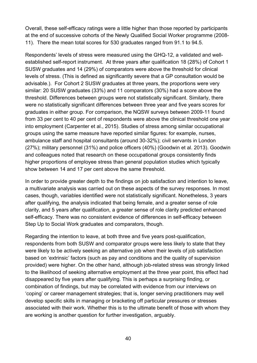Overall, these self-efficacy ratings were a little higher than those reported by participants at the end of successive cohorts of the Newly Qualified Social Worker programme (2008- 11). There the mean total scores for 530 graduates ranged from 91.1 to 94.5.

Respondents' levels of stress were measured using the GHQ-12, a validated and wellestablished self-report instrument. At three years after qualification 18 (28%) of Cohort 1 SUSW graduates and 14 (29%) of comparators were above the threshold for clinical levels of stress. (This is defined as significantly severe that a GP consultation would be advisable.). For Cohort 2 SUSW graduates at three years, the proportions were very similar: 20 SUSW graduates (33%) and 11 comparators (30%) had a score above the threshold. Differences between groups were not statistically significant. Similarly, there were no statistically significant differences between three year and five years scores for graduates in either group. For comparison, the NQSW surveys between 2009-11 found from 33 per cent to 40 per cent of respondents were above the clinical threshold one year into employment (Carpenter et al., 2015). Studies of stress among similar occupational groups using the same measure have reported similar figures: for example, nurses, ambulance staff and hospital consultants (around 30-32%); civil servants in London (27%); military personnel (31%) and police officers (40%) (Goodwin et al. 2013). Goodwin and colleagues noted that research on these occupational groups consistently finds higher proportions of employee stress than general population studies which typically show between 14 and 17 per cent above the same threshold.

In order to provide greater depth to the findings on job satisfaction and intention to leave, a multivariate analysis was carried out on these aspects of the survey responses. In most cases, though, variables identified were not statistically significant. Nonetheless, 3 years after qualifying, the analysis indicated that being female, and a greater sense of role clarity, and 5 years after qualification, a greater sense of role clarity predicted enhanced self-efficacy. There was no consistent evidence of differences in self-efficacy between Step Up to Social Work graduates and comparators, though.

Regarding the intention to leave, at both three and five years post-qualification, respondents from both SUSW and comparator groups were less likely to state that they were likely to be actively seeking an alternative job when their levels of job satisfaction based on 'extrinsic' factors (such as pay and conditions and the quality of supervision provided) were higher. On the other hand, although job-related stress was strongly linked to the likelihood of seeking alternative employment at the three year point, this effect had disappeared by five years after qualifying. This is perhaps a surprising finding, or combination of findings, but may be correlated with evidence from our interviews on 'coping' or career management strategies; that is, longer serving practitioners may well develop specific skills in managing or bracketing off particular pressures or stresses associated with their work. Whether this is to the ultimate benefit of those with whom they are working is another question for further investigation, arguably.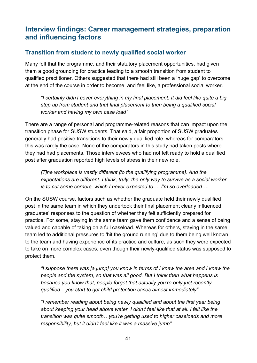# **Interview findings: Career management strategies, preparation and influencing factors**

## **Transition from student to newly qualified social worker**

Many felt that the programme, and their statutory placement opportunities, had given them a good grounding for practice leading to a smooth transition from student to qualified practitioner. Others suggested that there had still been a 'huge gap' to overcome at the end of the course in order to become, and feel like, a professional social worker.

*"I certainly didn't cover everything in my final placement. It did feel like quite a big step up from student and that final placement to then being a qualified social worker and having my own case load"*

There are a range of personal and programme-related reasons that can impact upon the transition phase for SUSW students. That said, a fair proportion of SUSW graduates generally had positive transitions to their newly qualified role, whereas for comparators this was rarely the case. None of the comparators in this study had taken posts where they had had placements. Those interviewees who had not felt ready to hold a qualified post after graduation reported high levels of stress in their new role.

*[T]he workplace is vastly different [to the qualifying programme]. And the expectations are different. I think, truly, the only way to survive as a social worker is to cut some corners, which I never expected to…. I'm so overloaded….* 

On the SUSW course, factors such as whether the graduate held their newly qualified post in the same team in which they undertook their final placement clearly influenced graduates' responses to the question of whether they felt sufficiently prepared for practice. For some, staying in the same team gave them confidence and a sense of being valued and capable of taking on a full caseload. Whereas for others, staying in the same team led to additional pressures to 'hit the ground running' due to them being well known to the team and having experience of its practice and culture, as such they were expected to take on more complex cases, even though their newly-qualified status was supposed to protect them.

*"I suppose there was [a jump] you know in terms of I knew the area and I knew the people and the system, so that was all good. But I think then what happens is because you know that, people forget that actually you're only just recently qualified…you start to get child protection cases almost immediately"*

*"I remember reading about being newly qualified and about the first year being about keeping your head above water. I didn't feel like that at all. I felt like the transition was quite smooth…you're getting used to higher caseloads and more responsibility, but it didn't feel like it was a massive jump"*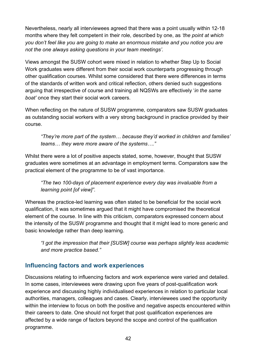Nevertheless, nearly all interviewees agreed that there was a point usually within 12-18 months where they felt competent in their role, described by one, as *'the point at which you don't feel like you are going to make an enormous mistake and you notice you are not the one always asking questions in your team meetings'.*

Views amongst the SUSW cohort were mixed in relation to whether Step Up to Social Work graduates were different from their social work counterparts progressing through other qualification courses. Whilst some considered that there were differences in terms of the standards of written work and critical reflection, others denied such suggestions arguing that irrespective of course and training all NQSWs are effectively '*in the same boat'* once they start their social work careers.

When reflecting on the nature of SUSW programme, comparators saw SUSW graduates as outstanding social workers with a very strong background in practice provided by their course.

*"They're more part of the system… because they'd worked in children and families' teams… they were more aware of the systems…."*

Whilst there were a lot of positive aspects stated, some, however, thought that SUSW graduates were sometimes at an advantage in employment terms. Comparators saw the practical element of the programme to be of vast importance.

*"The two 100-days of placement experience every day was invaluable from a learning point [of view]".*

Whereas the practice-led learning was often stated to be beneficial for the social work qualification, it was sometimes argued that it might have compromised the theoretical element of the course. In line with this criticism, comparators expressed concern about the intensity of the SUSW programme and thought that it might lead to more generic and basic knowledge rather than deep learning.

*"I got the impression that their [SUSW] course was perhaps slightly less academic and more practice based."*

### **Influencing factors and work experiences**

Discussions relating to influencing factors and work experience were varied and detailed. In some cases, interviewees were drawing upon five years of post-qualification work experience and discussing highly individualised experiences in relation to particular local authorities, managers, colleagues and cases. Clearly, interviewees used the opportunity within the interview to focus on both the positive and negative aspects encountered within their careers to date. One should not forget that post qualification experiences are affected by a wide range of factors beyond the scope and control of the qualification programme.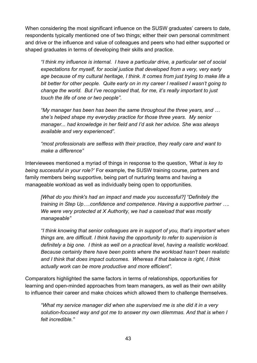When considering the most significant influence on the SUSW graduates' careers to date, respondents typically mentioned one of two things; either their own personal commitment and drive or the influence and value of colleagues and peers who had either supported or shaped graduates in terms of developing their skills and practice.

*"I think my influence is internal. I have a particular drive, a particular set of social expectations for myself, for social justice that developed from a very, very early age because of my cultural heritage, I think. It comes from just trying to make life a bit better for other people. Quite early on in my career I realised I wasn't going to change the world. But I've recognised that, for me, it's really important to just touch the life of one or two people".*

*"My manager has been has been the same throughout the three years, and … she's helped shape my everyday practice for those three years. My senior manager... had knowledge in her field and I'd ask her advice. She was always available and very experienced".*

*"most professionals are selfless with their practice, they really care and want to make a difference"*

Interviewees mentioned a myriad of things in response to the question, *'What is key to being successful in your role?'* For example, the SUSW training course, partners and family members being supportive, being part of nurturing teams and having a manageable workload as well as individually being open to opportunities.

*[What do you think's had an impact and made you successful?] "Definitely the training in Step Up….confidence and competence. Having a supportive partner …. We were very protected at X Authority, we had a caseload that was mostly manageable"*

*"I think knowing that senior colleagues are in support of you, that's important when things are, are difficult. I think having the opportunity to refer to supervision is definitely a big one. I think as well on a practical level, having a realistic workload. Because certainly there have been points where the workload hasn't been realistic and I think that does impact outcomes. Whereas if that balance is right, I think actually work can be more productive and more efficient".*

Comparators highlighted the same factors in terms of relationships, opportunities for learning and open-minded approaches from team managers, as well as their own ability to influence their career and make choices which allowed them to challenge themselves.

*"What my service manager did when she supervised me is she did it in a very solution-focused way and got me to answer my own dilemmas. And that is when I felt incredible."*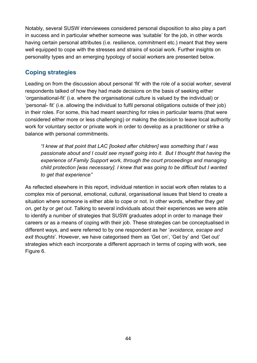Notably, several SUSW interviewees considered personal disposition to also play a part in success and in particular whether someone was 'suitable' for the job, in other words having certain personal attributes (i.e. resilience, commitment etc.) meant that they were well equipped to cope with the stresses and strains of social work. Further insights on personality types and an emerging typology of social workers are presented below.

## **Coping strategies**

Leading on from the discussion about personal 'fit' with the role of a social worker, several respondents talked of how they had made decisions on the basis of seeking either 'organisational-fit' (i.e. where the organisational culture is valued by the individual) or 'personal- fit' (i.e. allowing the individual to fulfil personal obligations outside of their job) in their roles. For some, this had meant searching for roles in particular teams (that were considered either more or less challenging) or making the decision to leave local authority work for voluntary sector or private work in order to develop as a practitioner or strike a balance with personal commitments.

*"I knew at that point that LAC [looked after children] was something that I was passionate about and I could see myself going into it. But I thought that having the experience of Family Support work, through the court proceedings and managing child protection [was necessary]. I knew that was going to be difficult but I wanted to get that experience"*

As reflected elsewhere in this report, individual retention in social work often relates to a complex mix of personal, emotional, cultural, organisational issues that blend to create a situation where someone is either able to cope or not. In other words, whether they *get on*, *get by* or *get out*. Talking to several individuals about their experiences we were able to identify a number of strategies that SUSW graduates adopt in order to manage their careers or as a means of coping with their job. These strategies can be conceptualised in different ways, and were referred to by one respondent as her '*avoidance, escape and exit thoughts*'. However, we have categorised them as 'Get on', 'Get by' and 'Get out' strategies which each incorporate a different approach in terms of coping with work, see Figure 6.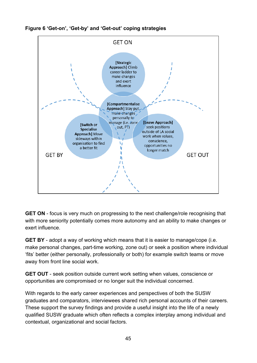

**Figure 6 'Get-on', 'Get-by' and 'Get-out' coping strategies**

**GET ON** - focus is very much on progressing to the next challenge/role recognising that with more seniority potentially comes more autonomy and an ability to make changes or exert influence.

**GET BY** - adopt a way of working which means that it is easier to manage/cope (i.e. make personal changes, part-time working, zone out) or seek a position where individual 'fits' better (either personally, professionally or both) for example switch teams or move away from front line social work.

**GET OUT** - seek position outside current work setting when values, conscience or opportunities are compromised or no longer suit the individual concerned.

With regards to the early career experiences and perspectives of both the SUSW graduates and comparators, interviewees shared rich personal accounts of their careers. These support the survey findings and provide a useful insight into the life of a newly qualified SUSW graduate which often reflects a complex interplay among individual and contextual, organizational and social factors.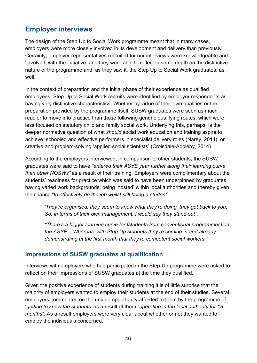# **Employer interviews**

The design of the Step Up to Social Work programme meant that in many cases, employers were more closely involved in its development and delivery than previously. Certainly, employer representatives recruited for our interviews were knowledgeable and 'involved' with the initiative, and they were able to reflect in some depth on the distinctive nature of the programme and, as they saw it, the Step Up to Social Work graduates, as well.

In the context of preparation and the initial phase of their experience as qualified employees, Step Up to Social Work recruits were identified by employer respondents as having very distinctive characteristics. Whether by virtue of their own qualities or the preparation provided by the programme itself, SUSW graduates were seen as much readier to move into practice than those following generic qualifying routes, which were less focused on statutory child and family social work. Underlying this, perhaps, is the deeper normative question of what *should* social work education and training aspire to achieve: schooled and effective performers in specialist delivery roles (Narey, 2014); or creative and problem-solving 'applied social scientists' (Croisdale-Appleby, 2014).

According to the employers interviewed, in comparison to other students, the SUSW graduates were said to have *"entered their ASYE year further along their learning curve than other NQSWs"* as a result of their training. Employers were complimentary about the students' readiness for practice which was said to have been underpinned by graduates having varied work backgrounds; being 'hosted' within local authorities and thereby given the chance "*to effectively do the job whilst still being a student*".

*"They're organised, they seem to know what they're doing, they get back to you. So, in terms of their own management, I would say they stand out".*

*"There's a bigger learning curve for [students from conventional programmes] on the ASYE. Whereas, with Step Up students they're coming in and already demonstrating at the first month that they're competent social workers."*

#### **Impressions of SUSW graduates at qualification**

Interviews with employers who had participated in the Step-Up programme were asked to reflect on their impressions of SUSW graduates at the time they qualified.

Given the positive experience of students during training it is of little surprise that the majority of employers wanted to employ their students at the end of their studies. Several employers commented on the unique opportunity afforded to them by the programme of '*getting to know the students'* as a result of them "*operating in the local authority for 18 months*". As a result employers were very clear about whether or not they wanted to employ the individuals concerned.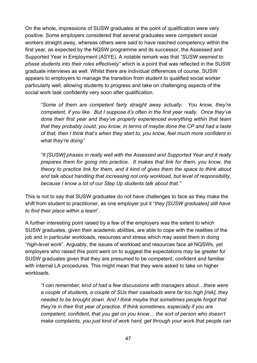On the whole, impressions of SUSW graduates at the point of qualification were very positive. Some employers considered that several graduates were competent social workers straight away, whereas others were said to have reached competency within the first year, as expected by the NQSW programme and its successor, the Assessed and Supported Year in Employment (ASYE). A notable remark was that *"SUSW seemed to phase students into their roles effectively"* which is a point that was reflected in the SUSW graduate interviews as well. Whilst there are individual differences of course, SUSW appears to employers to manage the transition from student to qualified social worker particularly well, allowing students to progress and take on challenging aspects of the social work task confidently very soon after qualification.

*"Some of them are competent fairly straight away actually. You know, they're competent, if you like. But I suppose it's often in the first year really. Once they've done their first year and they've properly experienced everything within that team that they probably could, you know, in terms of maybe done the CP and had a taste of that, then I think that's when they start to, you know, feel much more confident in what they're doing"*

*"It [SUSW] phases in really well with the Assessed and Supported Year and it really prepares them for going into practice. It makes that link for them, you know, the theory to practice link for them, and it kind of gives them the space to think about and talk about handling that increasing not only workload, but level of responsibility, because I know a lot of our Step Up students talk about that."*

This is not to say that SUSW graduates do not have challenges to face as they make the shift from student to practitioner, as one employer put it "*they [SUSW graduates] still have to find their place within a team*".

A further interesting point raised by a few of the employers was the extent to which SUSW graduates, given their academic abilities, are able to cope with the realities of the job and in particular workloads, resources and stress which may assist them in doing "*high-level work*". Arguably, the issues of workload and resources face all NQSWs, yet employers who raised this point went on to suggest the expectations may be greater for SUSW graduates given that they are presumed to be competent, confident and familiar with internal LA procedures. This might mean that they were asked to take on higher workloads.

*"I can remember, kind of had a few discussions with managers about…there were a couple of students, a couple of SUs their caseloads were far too high [risk], they needed to be brought down. And I think maybe that sometimes people forgot that they're in their first year of practice. If think sometimes, especially if you are competent, confident, that you get on you know… the sort of person who doesn't make complaints, you just kind of work hard, get through your work that people can*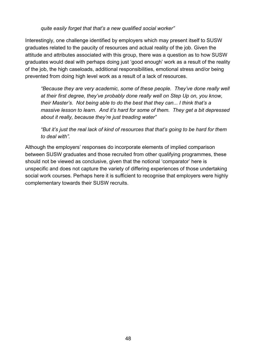#### *quite easily forget that that's a new qualified social worker"*

Interestingly, one challenge identified by employers which may present itself to SUSW graduates related to the paucity of resources and actual reality of the job. Given the attitude and attributes associated with this group, there was a question as to how SUSW graduates would deal with perhaps doing just 'good enough' work as a result of the reality of the job, the high caseloads, additional responsibilities, emotional stress and/or being prevented from doing high level work as a result of a lack of resources.

*"Because they are very academic, some of these people. They've done really well at their first degree, they've probably done really well on Step Up on, you know, their Master's. Not being able to do the best that they can... I think that's a massive lesson to learn. And it's hard for some of them. They get a bit depressed about it really, because they're just treading water"*

*"But it's just the real lack of kind of resources that that's going to be hard for them to deal with".*

Although the employers' responses do incorporate elements of implied comparison between SUSW graduates and those recruited from other qualifying programmes, these should not be viewed as conclusive, given that the notional 'comparator' here is unspecific and does not capture the variety of differing experiences of those undertaking social work courses. Perhaps here it is sufficient to recognise that employers were highly complementary towards their SUSW recruits.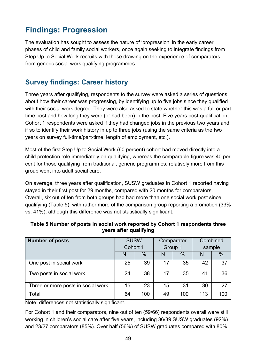# **Findings: Progression**

The evaluation has sought to assess the nature of 'progression' in the early career phases of child and family social workers, once again seeking to integrate findings from Step Up to Social Work recruits with those drawing on the experience of comparators from generic social work qualifying programmes.

# **Survey findings: Career history**

Three years after qualifying, respondents to the survey were asked a series of questions about how their career was progressing, by identifying up to five jobs since they qualified with their social work degree. They were also asked to state whether this was a full or part time post and how long they were (or had been) in the post. Five years post-qualification, Cohort 1 respondents were asked if they had changed jobs in the previous two years and if so to identify their work history in up to three jobs (using the same criteria as the two years on survey full-time/part-time, length of employment, etc.).

Most of the first Step Up to Social Work (60 percent) cohort had moved directly into a child protection role immediately on qualifying, whereas the comparable figure was 40 per cent for those qualifying from traditional, generic programmes; relatively more from this group went into adult social care.

On average, three years after qualification, SUSW graduates in Cohort 1 reported having stayed in their first post for 29 months, compared with 20 months for comparators. Overall, six out of ten from both groups had had more than one social work post since qualifying (Table 5), with rather more of the comparison group reporting a promotion (33% vs. 41%), although this difference was not statistically significant.

| <b>Number of posts</b>             | <b>SUSW</b> |      | Comparator |               | Combined |      |
|------------------------------------|-------------|------|------------|---------------|----------|------|
|                                    | Cohort 1    |      | Group 1    |               | sample   |      |
|                                    | N           | $\%$ |            | $\frac{0}{0}$ | N        | $\%$ |
| One post in social work            | 25          | 39   | 17         | 35            | 42       | 37   |
| Two posts in social work           | 24          | 38   | 17         | 35            | 41       | 36   |
| Three or more posts in social work | 15          | 23   | 15         | 31            | 30       | 27   |
| Total                              | 64          | 100  | 49         | 100           | 113      | 100  |

#### **Table 5 Number of posts in social work reported by Cohort 1 respondents three years after qualifying**

Note: differences not statistically significant.

For Cohort 1 and their comparators, nine out of ten (59/66) respondents overall were still working in children's social care after five years, including 36/39 SUSW graduates (92%) and 23/27 comparators (85%). Over half (56%) of SUSW graduates compared with 80%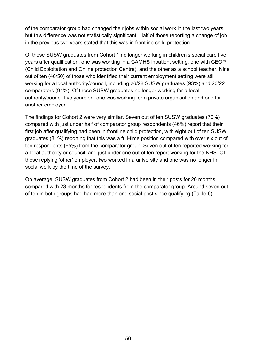of the comparator group had changed their jobs within social work in the last two years, but this difference was not statistically significant. Half of those reporting a change of job in the previous two years stated that this was in frontline child protection.

Of those SUSW graduates from Cohort 1 no longer working in children's social care five years after qualification, one was working in a CAMHS inpatient setting, one with CEOP (Child Exploitation and Online protection Centre), and the other as a school teacher. Nine out of ten (46/50) of those who identified their current employment setting were still working for a local authority/council, including 26/28 SUSW graduates (93%) and 20/22 comparators (91%). Of those SUSW graduates no longer working for a local authority/council five years on, one was working for a private organisation and one for another employer.

The findings for Cohort 2 were very similar. Seven out of ten SUSW graduates (70%) compared with just under half of comparator group respondents (46%) report that their first job after qualifying had been in frontline child protection, with eight out of ten SUSW graduates (81%) reporting that this was a full-time position compared with over six out of ten respondents (65%) from the comparator group. Seven out of ten reported working for a local authority or council, and just under one out of ten report working for the NHS. Of those replying 'other' employer, two worked in a university and one was no longer in social work by the time of the survey.

On average, SUSW graduates from Cohort 2 had been in their posts for 26 months compared with 23 months for respondents from the comparator group. Around seven out of ten in both groups had had more than one social post since qualifying (Table 6).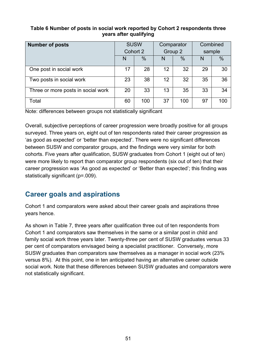#### **Table 6 Number of posts in social work reported by Cohort 2 respondents three years after qualifying**

| <b>Number of posts</b>             | <b>SUSW</b> |      | Comparator |      | Combined |      |
|------------------------------------|-------------|------|------------|------|----------|------|
|                                    | Cohort 2    |      | Group 2    |      | sample   |      |
|                                    | N           | $\%$ | N          | $\%$ | N        | $\%$ |
| One post in social work            | 17          | 28   | 12         | 32   | 29       | 30   |
| Two posts in social work           | 23          | 38   | 12         | 32   | 35       | 36   |
| Three or more posts in social work | 20          | 33   | 13         | 35   | 33       | 34   |
| Total                              | 60          | 100  | 37         | 100  | 97       | 100  |

Note: differences between groups not statistically significant

Overall, subjective perceptions of career progression were broadly positive for all groups surveyed. Three years on, eight out of ten respondents rated their career progression as 'as good as expected' or 'better than expected'. There were no significant differences between SUSW and comparator groups, and the findings were very similar for both cohorts. Five years after qualification, SUSW graduates from Cohort 1 (eight out of ten) were more likely to report than comparator group respondents (six out of ten) that their career progression was 'As good as expected' or 'Better than expected'; this finding was statistically significant (p=.009).

# **Career goals and aspirations**

Cohort 1 and comparators were asked about their career goals and aspirations three years hence.

As shown in Table 7, three years after qualification three out of ten respondents from Cohort 1 and comparators saw themselves in the same or a similar post in child and family social work three years later. Twenty-three per cent of SUSW graduates versus 33 per cent of comparators envisaged being a specialist practitioner. Conversely, more SUSW graduates than comparators saw themselves as a manager in social work (23% versus 8%). At this point, one in ten anticipated having an alternative career outside social work. Note that these differences between SUSW graduates and comparators were not statistically significant.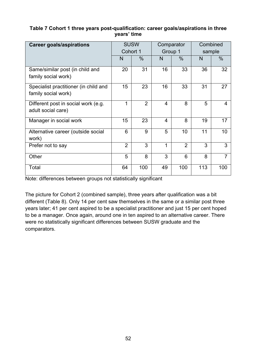#### **Table 7 Cohort 1 three years post-qualification: career goals/aspirations in three years' time**

| <b>Career goals/aspirations</b>                              | <b>SUSW</b><br>Cohort 1 |                | Comparator<br>Group 1 |                | Combined<br>sample |                |
|--------------------------------------------------------------|-------------------------|----------------|-----------------------|----------------|--------------------|----------------|
|                                                              | N                       | $\%$           | N                     | $\%$           | N                  | $\%$           |
| Same/similar post (in child and<br>family social work)       | 20                      | 31             | 16                    | 33             | 36                 | 32             |
| Specialist practitioner (in child and<br>family social work) | 15                      | 23             | 16                    | 33             | 31                 | 27             |
| Different post in social work (e.g.<br>adult social care)    | 1                       | $\overline{2}$ | 4                     | 8              | 5                  | 4              |
| Manager in social work                                       | 15                      | 23             | $\overline{4}$        | 8              | 19                 | 17             |
| Alternative career (outside social<br>work)                  | 6                       | 9              | 5                     | 10             | 11                 | 10             |
| Prefer not to say                                            | $\overline{2}$          | 3              | 1                     | $\overline{2}$ | 3                  | 3              |
| Other                                                        | 5                       | 8              | 3                     | 6              | 8                  | $\overline{7}$ |
| Total                                                        | 64                      | 100            | 49                    | 100            | 113                | 100            |

Note: differences between groups not statistically significant

The picture for Cohort 2 (combined sample), three years after qualification was a bit different (Table 8). Only 14 per cent saw themselves in the same or a similar post three years later; 41 per cent aspired to be a specialist practitioner and just 15 per cent hoped to be a manager. Once again, around one in ten aspired to an alternative career. There were no statistically significant differences between SUSW graduate and the comparators.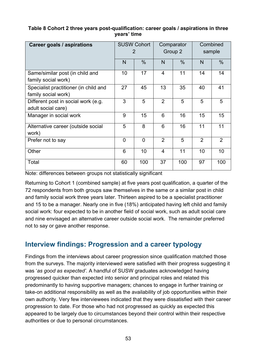#### **Table 8 Cohort 2 three years post-qualification: career goals / aspirations in three years' time**

| <b>Career goals / aspirations</b>                            |              | <b>SUSW Cohort</b><br>2 |                | Comparator<br>Group 2 |                | Combined<br>sample |  |
|--------------------------------------------------------------|--------------|-------------------------|----------------|-----------------------|----------------|--------------------|--|
|                                                              | N            | $\frac{0}{0}$           | N              | $\frac{0}{0}$         | N              | $\%$               |  |
| Same/similar post (in child and<br>family social work)       | 10           | 17                      | $\overline{4}$ | 11                    | 14             | 14                 |  |
| Specialist practitioner (in child and<br>family social work) | 27           | 45                      | 13             | 35                    | 40             | 41                 |  |
| Different post in social work (e.g.<br>adult social care)    | 3            | 5                       | $\overline{2}$ | 5                     | 5              | 5                  |  |
| Manager in social work                                       | 9            | 15                      | 6              | 16                    | 15             | 15                 |  |
| Alternative career (outside social<br>work)                  | 5            | 8                       | 6              | 16                    | 11             | 11                 |  |
| Prefer not to say                                            | $\mathbf{0}$ | $\overline{0}$          | $\overline{2}$ | 5                     | $\overline{2}$ | $\overline{2}$     |  |
| Other                                                        | 6            | 10                      | $\overline{4}$ | 11                    | 10             | 10                 |  |
| Total                                                        | 60           | 100                     | 37             | 100                   | 97             | 100                |  |

Note: differences between groups not statistically significant

Returning to Cohort 1 (combined sample) at five years post qualification, a quarter of the 72 respondents from both groups saw themselves in the same or a similar post in child and family social work three years later. Thirteen aspired to be a specialist practitioner and 15 to be a manager. Nearly one in five (18%) anticipated having left child and family social work: four expected to be in another field of social work, such as adult social care and nine envisaged an alternative career outside social work. The remainder preferred not to say or gave another response.

# **Interview findings: Progression and a career typology**

Findings from the interviews about career progression since qualification matched those from the surveys. The majority interviewed were satisfied with their progress suggesting it was '*as good as expected'*. A handful of SUSW graduates acknowledged having progressed quicker than expected into senior and principal roles and related this predominantly to having supportive managers; chances to engage in further training or take-on additional responsibility as well as the availability of job opportunities within their own authority. Very few interviewees indicated that they were dissatisfied with their career progression to date. For those who had not progressed as quickly as expected this appeared to be largely due to circumstances beyond their control within their respective authorities or due to personal circumstances.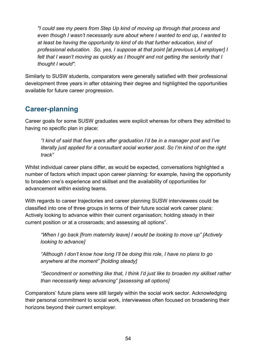*"I could see my peers from Step Up kind of moving up through that process and even though I wasn't necessarily sure about where I wanted to end up, I wanted to at least be having the opportunity to kind of do that further education, kind of professional education. So, yes, I suppose at that point [at previous LA employer] I*  felt that I wasn't moving as quickly as I thought and not getting the seniority that I *thought I would".*

Similarly to SUSW students, comparators were generally satisfied with their professional development three years in after obtaining their degree and highlighted the opportunities available for future career progression.

# **Career-planning**

Career goals for some SUSW graduates were explicit whereas for others they admitted to having no specific plan in place:

*"I kind of said that five years after graduation I'd be in a manager post and I've literally just applied for a consultant social worker post. So I'm kind of on the right track"*

Whilst individual career plans differ, as would be expected, conversations highlighted a number of factors which impact upon career planning: for example, having the opportunity to broaden one's experience and skillset and the availability of opportunities for advancement within existing teams.

With regards to career trajectories and career planning SUSW interviewees could be classified into one of three groups in terms of their future social work career plans: Actively looking to advance within their current organisation; holding steady in their current position or at a crossroads; and assessing all options".

*"When I go back [from maternity leave] I would be looking to move up" [Actively looking to advance]*

*"Although I don't know how long I'll be doing this role, I have no plans to go anywhere at the moment" [holding steady]*

*"Secondment or something like that, I think I'd just like to broaden my skillset rather than necessarily keep advancing" [assessing all options]*

Comparators' future plans were still largely within the social work sector. Acknowledging their personal commitment to social work, interviewees often focused on broadening their horizons beyond their current employer.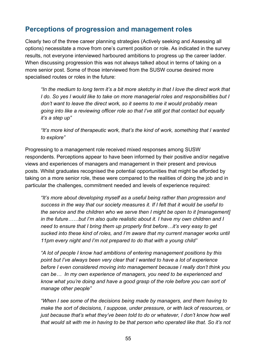## **Perceptions of progression and management roles**

Clearly two of the three career planning strategies (Actively seeking and Assessing all options) necessitate a move from one's current position or role. As indicated in the survey results, not everyone interviewed harboured ambitions to progress up the career ladder. When discussing progression this was not always talked about in terms of taking on a more senior post. Some of those interviewed from the SUSW course desired more specialised routes or roles in the future:

*"In the medium to long term it's a bit more sketchy in that I love the direct work that I do. So yes I would like to take on more managerial roles and responsibilities but I*  don't want to leave the direct work, so it seems to me it would probably mean *going into like a reviewing officer role so that I've still got that contact but equally it's a step up"*

*"It's more kind of therapeutic work, that's the kind of work, something that I wanted to explore"*

Progressing to a management role received mixed responses among SUSW respondents. Perceptions appear to have been informed by their positive and/or negative views and experiences of managers and management in their present and previous posts. Whilst graduates recognised the potential opportunities that might be afforded by taking on a more senior role, these were compared to the realities of doing the job and in particular the challenges, commitment needed and levels of experience required:

*"It's more about developing myself as a useful being rather than progression and success in the way that our society measures it. If I felt that it would be useful to the service and the children who we serve then I might be open to it [management] in the future……but I'm also quite realistic about it. I have my own children and I need to ensure that I bring them up properly first before…it's very easy to get sucked into these kind of roles, and I'm aware that my current manager works until 11pm every night and I'm not prepared to do that with a young child"*

*"A lot of people I know had ambitions of entering management positions by this point but I've always been very clear that I wanted to have a lot of experience before I even considered moving into management because I really don't think you can be… In my own experience of managers, you need to be experienced and know what you're doing and have a good grasp of the role before you can sort of manage other people"*

*"When I see some of the decisions being made by managers, and them having to make the sort of decisions, I suppose, under pressure, or with lack of resources, or just because that's what they've been told to do or whatever, I don't know how well that would sit with me in having to be that person who operated like that. So it's not*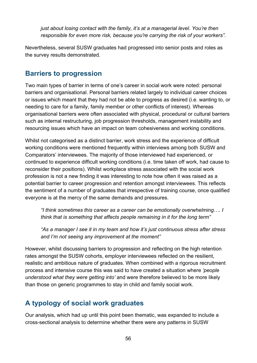*just about losing contact with the family, it's at a managerial level. You're then responsible for even more risk, because you're carrying the risk of your workers".* 

Nevertheless, several SUSW graduates had progressed into senior posts and roles as the survey results demonstrated.

# **Barriers to progression**

Two main types of barrier in terms of one's career in social work were noted: personal barriers and organisational. Personal barriers related largely to individual career choices or issues which meant that they had not be able to progress as desired (i.e. wanting to, or needing to care for a family, family member or other conflicts of interest). Whereas organisational barriers were often associated with physical, procedural or cultural barriers such as internal restructuring, job progression thresholds, management instability and resourcing issues which have an impact on team cohesiveness and working conditions.

Whilst not categorised as a distinct barrier, work stress and the experience of difficult working conditions were mentioned frequently within interviews among both SUSW and Comparators' interviewees. The majority of those interviewed had experienced, or continued to experience difficult working conditions (i.e. time taken off work, had cause to reconsider their positions). Whilst workplace stress associated with the social work profession is not a new finding it was interesting to note how often it was raised as a potential barrier to career progression and retention amongst interviewees. This reflects the sentiment of a number of graduates that irrespective of training course, once qualified everyone is at the mercy of the same demands and pressures.

*"I think sometimes this career as a career can be emotionally overwhelming…. I think that is something that affects people remaining in it for the long term"*

*"As a manager I see it in my team and how it's just continuous stress after stress and I'm not seeing any improvement at the moment"*

However, whilst discussing barriers to progression and reflecting on the high retention rates amongst the SUSW cohorts, employer interviewees reflected on the resilient, realistic and ambitious nature of graduates. When combined with a rigorous recruitment process and intensive course this was said to have created a situation where *'people understood what they were getting into'* and were therefore believed to be more likely than those on generic programmes to stay in child and family social work.

# **A typology of social work graduates**

Our analysis, which had up until this point been thematic, was expanded to include a cross-sectional analysis to determine whether there were any patterns in SUSW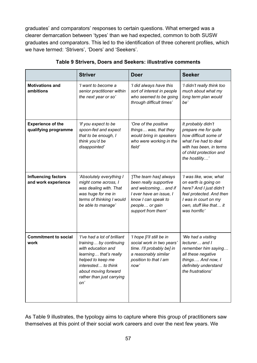graduates' and comparators' responses to certain questions. What emerged was a clearer demarcation between 'types' than we had expected, common to both SUSW graduates and comparators. This led to the identification of three coherent profiles, which we have termed: 'Strivers', 'Doers' and 'Seekers'.

|                                                   | <b>Striver</b>                                                                                                                                                                                                 | <b>Doer</b>                                                                                                                                                        | <b>Seeker</b>                                                                                                                                                             |
|---------------------------------------------------|----------------------------------------------------------------------------------------------------------------------------------------------------------------------------------------------------------------|--------------------------------------------------------------------------------------------------------------------------------------------------------------------|---------------------------------------------------------------------------------------------------------------------------------------------------------------------------|
| <b>Motivations and</b><br>ambitions               | 'I want to become a<br>senior practitioner within<br>the next year or so'                                                                                                                                      | 'I did always have this<br>sort of interest in people<br>who seemed to be going<br>through difficult times'                                                        | 'I didn't really think too<br>much about what my<br>long term plan would<br>be'                                                                                           |
| <b>Experience of the</b><br>qualifying programme  | 'If you expect to be<br>spoon-fed and expect<br>that to be enough, I<br>think you'd be<br>disappointed'                                                                                                        | 'One of the positive<br>things was, that they<br>would bring in speakers<br>who were working in the<br>field'                                                      | It probably didn't<br>prepare me for quite<br>how difficult some of<br>what I've had to deal<br>with has been, in terms<br>of child protection and<br>the hostility'      |
| <b>Influencing factors</b><br>and work experience | 'Absolutely everything I<br>might come across, I<br>was dealing with. That<br>was huge for me in<br>terms of thinking I would<br>be able to manage'                                                            | '[The team has] always<br>been really supportive<br>and welcoming and if<br>I ever have an issue, I<br>know I can speak to<br>people or gain<br>support from them' | 'I was like, wow, what<br>on earth is going on<br>here? And I just didn't<br>feel protected. And then<br>I was in court on my<br>own, stuff like that it<br>was horrific' |
| <b>Commitment to social</b><br>work               | 'I've had a lot of brilliant<br>training by continuing<br>with education and<br>learning that's really<br>helped to keep me<br>interested to think<br>about moving forward<br>rather than just carrying<br>on' | 'I hope [I'll still be in<br>social work in two years'<br>time. I'll probably be] in<br>a reasonably similar<br>position to that I am<br>now'                      | 'We had a visiting<br>lecturer and I<br>remember him saying<br>all these negative<br>things And now, I<br>definitely understand<br>the frustrations'                      |

| Table 9 Strivers, Doers and Seekers: illustrative comments |  |  |  |
|------------------------------------------------------------|--|--|--|
|                                                            |  |  |  |

As Table 9 illustrates, the typology aims to capture where this group of practitioners saw themselves at this point of their social work careers and over the next few years. We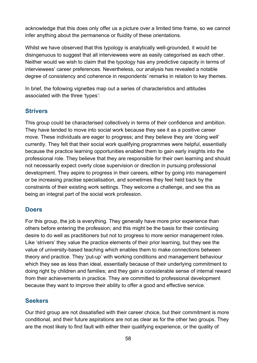acknowledge that this does only offer us a picture over a limited time frame, so we cannot infer anything about the permanence or fluidity of these orientations.

Whilst we have observed that this typology is analytically well-grounded, it would be disingenuous to suggest that all interviewees were as easily categorised as each other. Neither would we wish to claim that the typology has any predictive capacity in terms of interviewees' career preferences. Nevertheless, our analysis has revealed a notable degree of consistency and coherence in respondents' remarks in relation to key themes.

In brief, the following vignettes map out a series of characteristics and attitudes associated with the three 'types':

### **Strivers**

This group could be characterised collectively in terms of their confidence and ambition. They have tended to move into social work because they see it as a positive career move. These individuals are eager to progress; and they believe they are 'doing well' currently. They felt that their social work qualifying programmes were helpful, essentially because the practice learning opportunities enabled them to gain early insights into the professional role. They believe that they are responsible for their own learning and should not necessarily expect overly close supervision or direction in pursuing professional development. They aspire to progress in their careers, either by going into management or be increasing practise specialisation, and sometimes they feel held back by the constraints of their existing work settings. They welcome a challenge, and see this as being an integral part of the social work profession.

### **Doers**

For this group, the job is everything. They generally have more prior experience than others before entering the profession; and this might be the basis for their continuing desire to do well as practitioners but not to progress to more senior management roles. Like 'strivers' they value the practice elements of their prior learning, but they see the value of university-based teaching which enables them to make connections between theory and practice. They 'put-up' with working conditions and management behaviour which they see as less than ideal, essentially because of their underlying commitment to doing right by children and families; and they gain a considerable sense of internal reward from their achievements in practice. They are committed to professional development because they want to improve their ability to offer a good and effective service.

## **Seekers**

Our third group are not dissatisfied with their career choice, but their commitment is more conditional, and their future aspirations are not as clear as for the other two groups. They are the most likely to find fault with either their qualifying experience, or the quality of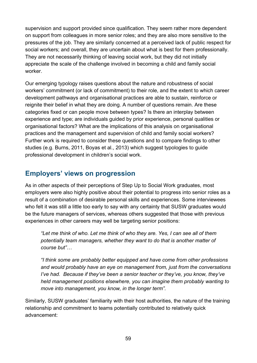supervision and support provided since qualification. They seem rather more dependent on support from colleagues in more senior roles; and they are also more sensitive to the pressures of the job. They are similarly concerned at a perceived lack of public respect for social workers; and overall, they are uncertain about what is best for them professionally. They are not necessarily thinking of leaving social work, but they did not initially appreciate the scale of the challenge involved in becoming a child and family social worker.

Our emerging typology raises questions about the nature and robustness of social workers' commitment (or lack of commitment) to their role, and the extent to which career development pathways and organisational practices are able to sustain, reinforce or reignite their belief in what they are doing. A number of questions remain. Are these categories fixed or can people move between types? Is there an interplay between experience and type; are individuals guided by prior experience, personal qualities or organisational factors? What are the implications of this analysis on organisational practices and the management and supervision of child and family social workers? Further work is required to consider these questions and to compare findings to other studies (e.g. Burns, 2011, Boyas et al., 2013) which suggest typologies to guide professional development in children's social work.

## **Employers' views on progression**

As in other aspects of their perceptions of Step Up to Social Work graduates, most employers were also highly positive about their potential to progress into senior roles as a result of a combination of desirable personal skills and experiences. Some interviewees who felt it was still a little too early to say with any certainty that SUSW graduates would be the future managers of services, whereas others suggested that those with previous experiences in other careers may well be targeting senior positions:

*"Let me think of who. Let me think of who they are. Yes, I can see all of them potentially team managers, whether they want to do that is another matter of course but"…* 

*"I think some are probably better equipped and have come from other professions and would probably have an eye on management from, just from the conversations I've had. Because if they've been a senior teacher or they've, you know, they've held management positions elsewhere, you can imagine them probably wanting to move into management, you know, in the longer term".*

Similarly, SUSW graduates' familiarity with their host authorities, the nature of the training relationship and commitment to teams potentially contributed to relatively quick advancement: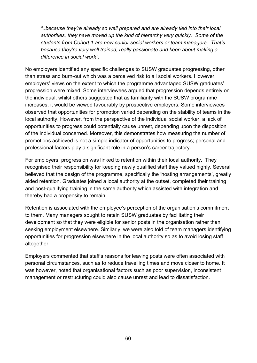*"..because they're already so well prepared and are already tied into their local authorities, they have moved up the kind of hierarchy very quickly. Some of the students from Cohort 1 are now senior social workers or team managers. That's because they're very well trained, really passionate and keen about making a difference in social work".* 

No employers identified any specific challenges to SUSW graduates progressing, other than stress and burn-out which was a perceived risk to all social workers. However, employers' views on the extent to which the programme advantaged SUSW graduates' progression were mixed. Some interviewees argued that progression depends entirely on the individual, whilst others suggested that as familiarity with the SUSW programme increases, it would be viewed favourably by prospective employers. Some interviewees observed that opportunities for promotion varied depending on the stability of teams in the local authority. However, from the perspective of the individual social worker, a lack of opportunities to progress could potentially cause unrest, depending upon the disposition of the individual concerned. Moreover, this demonstrates how measuring the number of promotions achieved is not a simple indicator of opportunities to progress; personal and professional factors play a significant role in a person's career trajectory.

For employers, progression was linked to retention within their local authority. They recognised their responsibility for keeping newly qualified staff they valued highly. Several believed that the design of the programme, specifically the 'hosting arrangements', greatly aided retention. Graduates joined a local authority at the outset, completed their training and post-qualifying training in the same authority which assisted with integration and thereby had a propensity to remain.

Retention is associated with the employee's perception of the organisation's commitment to them. Many managers sought to retain SUSW graduates by facilitating their development so that they were eligible for senior posts in the organisation rather than seeking employment elsewhere. Similarly, we were also told of team managers identifying opportunities for progression elsewhere in the local authority so as to avoid losing staff altogether.

Employers commented that staff's reasons for leaving posts were often associated with personal circumstances, such as to reduce travelling times and move closer to home. It was however, noted that organisational factors such as poor supervision, inconsistent management or restructuring could also cause unrest and lead to dissatisfaction.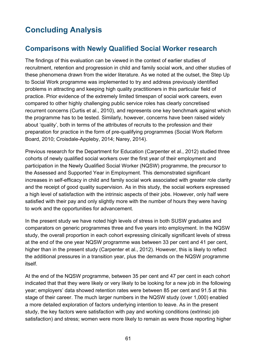# **Concluding Analysis**

## **Comparisons with Newly Qualified Social Worker research**

The findings of this evaluation can be viewed in the context of earlier studies of recruitment, retention and progression in child and family social work, and other studies of these phenomena drawn from the wider literature. As we noted at the outset, the Step Up to Social Work programme was implemented to try and address previously identified problems in attracting and keeping high quality practitioners in this particular field of practice. Prior evidence of the extremely limited timespan of social work careers, even compared to other highly challenging public service roles has clearly concretised recurrent concerns (Curtis et al., 2010), and represents one key benchmark against which the programme has to be tested. Similarly, however, concerns have been raised widely about 'quality', both in terms of the attributes of recruits to the profession and their preparation for practice in the form of pre-qualifying programmes (Social Work Reform Board, 2010; Croisdale-Appleby, 2014; Narey, 2014).

Previous research for the Department for Education (Carpenter et al., 2012) studied three cohorts of newly qualified social workers over the first year of their employment and participation in the Newly Qualified Social Worker (NQSW) programme, the precursor to the Assessed and Supported Year in Employment. This demonstrated significant increases in self-efficacy in child and family social work associated with greater role clarity and the receipt of good quality supervision. As in this study, the social workers expressed a high level of satisfaction with the intrinsic aspects of their jobs. However, only half were satisfied with their pay and only slightly more with the number of hours they were having to work and the opportunities for advancement.

In the present study we have noted high levels of stress in both SUSW graduates and comparators on generic programmes three and five years into employment. In the NQSW study, the overall proportion in each cohort expressing clinically significant levels of stress at the end of the one year NQSW programme was between 33 per cent and 41 per cent, higher than in the present study (Carpenter et al., 2012). However, this is likely to reflect the additional pressures in a transition year, plus the demands on the NQSW programme itself.

At the end of the NQSW programme, between 35 per cent and 47 per cent in each cohort indicated that that they were likely or very likely to be looking for a new job in the following year; employers' data showed retention rates were between 85 per cent and 91.5 at this stage of their career. The much larger numbers in the NQSW study (over 1,000) enabled a more detailed exploration of factors underlying intention to leave. As in the present study, the key factors were satisfaction with pay and working conditions (extrinsic job satisfaction) and stress; women were more likely to remain as were those reporting higher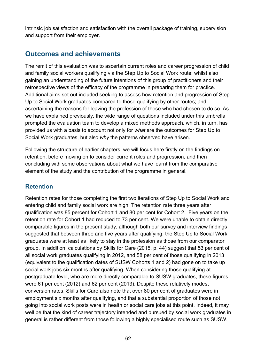intrinsic job satisfaction and satisfaction with the overall package of training, supervision and support from their employer.

# **Outcomes and achievements**

The remit of this evaluation was to ascertain current roles and career progression of child and family social workers qualifying via the Step Up to Social Work route; whilst also gaining an understanding of the future intentions of this group of practitioners and their retrospective views of the efficacy of the programme in preparing them for practice. Additional aims set out included seeking to assess how retention and progression of Step Up to Social Work graduates compared to those qualifying by other routes; and ascertaining the reasons for leaving the profession of those who had chosen to do so. As we have explained previously, the wide range of questions included under this umbrella prompted the evaluation team to develop a mixed methods approach, which, in turn, has provided us with a basis to account not only for *what* are the outcomes for Step Up to Social Work graduates, but also *why* the patterns observed have arisen.

Following the structure of earlier chapters, we will focus here firstly on the findings on retention, before moving on to consider current roles and progression, and then concluding with some observations about what we have learnt from the comparative element of the study and the contribution of the programme in general.

## **Retention**

Retention rates for those completing the first two iterations of Step Up to Social Work and entering child and family social work are high. The retention rate three years after qualification was 85 percent for Cohort 1 and 80 per cent for Cohort 2. Five years on the retention rate for Cohort 1 had reduced to 73 per cent. We were unable to obtain directly comparable figures in the present study, although both our survey and interview findings suggested that between three and five years after qualifying, the Step Up to Social Work graduates were at least as likely to stay in the profession as those from our comparator group. In addition, calculations by Skills for Care (2015, p. 44) suggest that 53 per cent of all social work graduates qualifying in 2012, and 58 per cent of those qualifying in 2013 (equivalent to the qualification dates of SUSW Cohorts 1 and 2) had gone on to take up social work jobs six months after qualifying. When considering those qualifying at postgraduate level, who are more directly comparable to SUSW graduates, these figures were 61 per cent (2012) and 62 per cent (2013). Despite these relatively modest conversion rates, Skills for Care also note that over 80 per cent of graduates were in employment six months after qualifying, and that a substantial proportion of those not going into social work posts were in health or social care jobs at this point. Indeed, it may well be that the kind of career trajectory intended and pursued by social work graduates in general is rather different from those following a highly specialised route such as SUSW.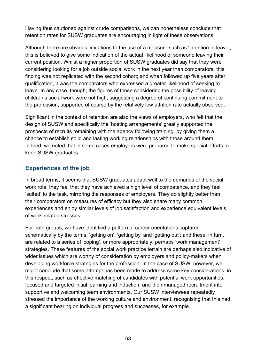Having thus cautioned against crude comparisons, we can nonetheless conclude that retention rates for SUSW graduates are encouraging in light of these observations.

Although there are obvious limitations to the use of a measure such as 'intention to leave', this is believed to give some indication of the actual likelihood of someone leaving their current position. Whilst a higher proportion of SUSW graduates did say that they were considering looking for a job outside social work in the next year than comparators, this finding was not replicated with the second cohort; and when followed up five years after qualification, it was the comparators who expressed a greater likelihood of seeking to leave. In any case, though, the figures of those considering the possibility of leaving children's social work were not high, suggesting a degree of continuing commitment to the profession, supported of course by the relatively low attrition rate actually observed.

Significant in the context of retention are also the views of employers, who felt that the design of SUSW and specifically the 'hosting arrangements' greatly supported the prospects of recruits remaining with the agency following training, by giving them a chance to establish solid and lasting working relationships with those around them. Indeed, we noted that in some cases employers were prepared to make special efforts to keep SUSW graduates.

## **Experiences of the job**

In broad terms, it seems that SUSW graduates adapt well to the demands of the social work role; they feel that they have achieved a high level of competence, and they feel 'suited' to the task, mirroring the responses of employers. They do slightly better than their comparators on measures of efficacy but they also share many common experiences and enjoy similar levels of job satisfaction and experience equivalent levels of work-related stresses.

For both groups, we have identified a pattern of career orientations captured schematically by the terms: 'getting on', 'getting by' and 'getting out'; and these, in turn, are related to a series of 'coping', or more appropriately, perhaps 'work management' strategies. These features of the social work practice terrain are perhaps also indicative of wider issues which are worthy of consideration by employers and policy-makers when developing workforce strategies for the profession. In the case of SUSW, however, we might conclude that some attempt has been made to address some key considerations, in this respect, such as effective matching of candidates with potential work opportunities, focused and targeted initial learning and induction, and then managed recruitment into supportive and welcoming team environments. Our SUSW interviewees repeatedly stressed the importance of the working culture and environment, recognising that this had a significant bearing on individual progress and successes, for example.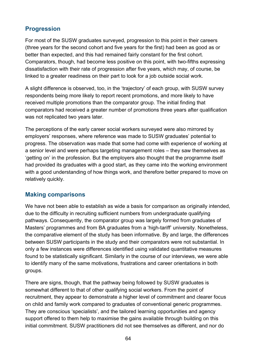## **Progression**

For most of the SUSW graduates surveyed, progression to this point in their careers (three years for the second cohort and five years for the first) had been as good as or better than expected, and this had remained fairly constant for the first cohort. Comparators, though, had become less positive on this point, with two-fifths expressing dissatisfaction with their rate of progression after five years, which may, of course, be linked to a greater readiness on their part to look for a job outside social work.

A slight difference is observed, too, in the 'trajectory' of each group, with SUSW survey respondents being more likely to report recent promotions, and more likely to have received multiple promotions than the comparator group. The initial finding that comparators had received a greater number of promotions three years after qualification was not replicated two years later.

The perceptions of the early career social workers surveyed were also mirrored by employers' responses, where reference was made to SUSW graduates' potential to progress. The observation was made that some had come with experience of working at a senior level and were perhaps targeting management roles – they saw themselves as 'getting on' in the profession. But the employers also thought that the programme itself had provided its graduates with a good start, as they came into the working environment with a good understanding of how things work, and therefore better prepared to move on relatively quickly.

### **Making comparisons**

We have not been able to establish as wide a basis for comparison as originally intended, due to the difficulty in recruiting sufficient numbers from undergraduate qualifying pathways. Consequently, the comparator group was largely formed from graduates of Masters' programmes and from BA graduates from a 'high-tariff' university. Nonetheless, the comparative element of the study has been informative. By and large, the differences between SUSW participants in the study and their comparators were not substantial. In only a few instances were differences identified using validated quantitative measures found to be statistically significant. Similarly in the course of our interviews, we were able to identify many of the same motivations, frustrations and career orientations in both groups.

There are signs, though, that the pathway being followed by SUSW graduates is somewhat different to that of other qualifying social workers. From the point of recruitment, they appear to demonstrate a higher level of commitment and clearer focus on child and family work compared to graduates of conventional generic programmes. They are conscious 'specialists', and the tailored learning opportunities and agency support offered to them help to maximise the gains available through building on this initial commitment. SUSW practitioners did not see themselves as different, and nor do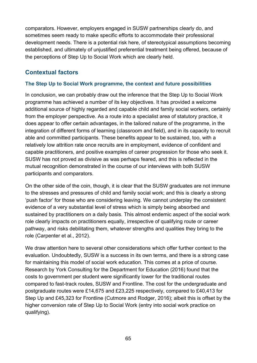comparators. However, employers engaged in SUSW partnerships clearly do, and sometimes seem ready to make specific efforts to accommodate their professional development needs. There is a potential risk here, of stereotypical assumptions becoming established, and ultimately of unjustified preferential treatment being offered, because of the perceptions of Step Up to Social Work which are clearly held.

## **Contextual factors**

#### **The Step Up to Social Work programme, the context and future possibilities**

In conclusion, we can probably draw out the inference that the Step Up to Social Work programme has achieved a number of its key objectives. It has provided a welcome additional source of highly regarded and capable child and family social workers, certainly from the employer perspective. As a route into a specialist area of statutory practice, it does appear to offer certain advantages, in the tailored nature of the programme, in the integration of different forms of learning (classroom and field), and in its capacity to recruit able and committed participants. These benefits appear to be sustained, too, with a relatively low attrition rate once recruits are in employment, evidence of confident and capable practitioners, and positive examples of career progression for those who seek it. SUSW has not proved as divisive as was perhaps feared, and this is reflected in the mutual recognition demonstrated in the course of our interviews with both SUSW participants and comparators.

On the other side of the coin, though, it is clear that the SUSW graduates are not immune to the stresses and pressures of child and family social work; and this is clearly a strong 'push factor' for those who are considering leaving. We cannot underplay the consistent evidence of a very substantial level of stress which is simply being absorbed and sustained by practitioners on a daily basis. This almost endemic aspect of the social work role clearly impacts on practitioners equally, irrespective of qualifying route or career pathway, and risks debilitating them, whatever strengths and qualities they bring to the role (Carpenter et al., 2012).

We draw attention here to several other considerations which offer further context to the evaluation. Undoubtedly, SUSW is a success in its own terms, and there is a strong case for maintaining this model of social work education. This comes at a price of course. Research by York Consulting for the Department for Education (2016) found that the costs to government per student were significantly lower for the traditional routes compared to fast-track routes, SUSW and Frontline. The cost for the undergraduate and postgraduate routes were £14,675 and £23,225 respectively, compared to £40,413 for Step Up and £45,323 for Frontline (Cutmore and Rodger, 2016); albeit this is offset by the higher conversion rate of Step Up to Social Work (entry into social work practice on qualifying).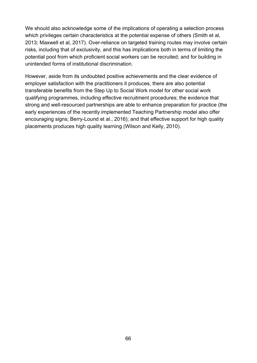We should also acknowledge some of the implications of operating a selection process which privileges certain characteristics at the potential expense of others (Smith et al, 2013; Maxwell et al, 2017). Over-reliance on targeted training routes may involve certain risks, including that of exclusivity, and this has implications both in terms of limiting the potential pool from which proficient social workers can be recruited; and for building in unintended forms of institutional discrimination.

However, aside from its undoubted positive achievements and the clear evidence of employer satisfaction with the practitioners it produces, there are also potential transferable benefits from the Step Up to Social Work model for other social work qualifying programmes, including effective recruitment procedures; the evidence that strong and well-resourced partnerships are able to enhance preparation for practice (the early experiences of the recently implemented Teaching Partnership model also offer encouraging signs; Berry-Lound et al., 2016); and that effective support for high quality placements produces high quality learning (Wilson and Kelly, 2010).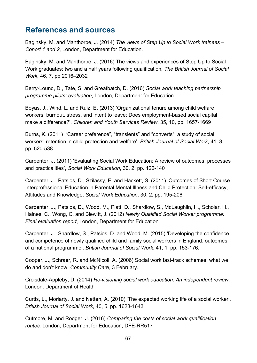# **References and sources**

Baginsky, M. and Manthorpe, J. (2014) *The views of Step Up to Social Work trainees – Cohort 1 and 2*, London, Department for Education.

Baginsky, M. and Manthorpe, J. (2016) The views and experiences of Step Up to Social Work graduates: two and a half years following qualification*, The British Journal of Social Work,* 46, 7, pp 2016–2032

Berry-Lound, D., Tate, S. and Greatbatch, D. (2016) *Social work teaching partnership programme pilots: evaluation*, London, Department for Education

Boyas, J., Wind, L. and Ruiz, E. (2013) 'Organizational tenure among child welfare workers, burnout, stress, and intent to leave: Does employment-based social capital make a difference?', *Children and Youth Services Review*, 35, 10, pp. 1657-1669

Burns, K. (2011) '"Career preference", "transients" and "converts": a study of social workers' retention in child protection and welfare', *British Journal of Social Work*, 41, 3, pp. 520-538

Carpenter, J. (2011) 'Evaluating Social Work Education: A review of outcomes, processes and practicalities', *Social Work Education*, 30, 2, pp. 122-140

Carpenter, J., Patsios, D., Szilassy, E. and Hackett, S. (2011) 'Outcomes of Short Course Interprofessional Education in Parental Mental Illness and Child Protection: Self-efficacy, Attitudes and Knowledge, *Social Work Education*, 30, 2, pp. 195-206

Carpenter, J., Patsios, D., Wood, M., Platt, D., Shardlow, S., McLaughlin, H., Scholar, H., Haines, C., Wong, C. and Blewitt, J. (2012) *Newly Qualified Social Worker programme: Final evaluation report*, London, Department for Education

Carpenter, J., Shardlow, S., Patsios, D. and Wood, M. (2015) 'Developing the confidence and competence of newly qualified child and family social workers in England: outcomes of a national programme', *British Journal of Social Work*, 41, 1, pp. 153-176.

Cooper, J., Schraer, R. and McNicoll, A. (2006) Social work fast-track schemes: what we do and don't know. *Community Care*, 3 February.

Croisdale-Appleby, D. (2014) *Re-visioning social work education: An independent review*, London, Department of Health

Curtis, L., Moriarty, J. and Netten, A. (2010) 'The expected working life of a social worker', *British Journal of Social Work*, 40, 5, pp. 1628-1643

Cutmore, M. and Rodger, J. (2016) *Comparing the costs of social work qualification routes.* London, Department for Education, DFE-RR517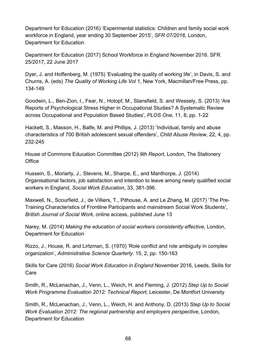Department for Education (2016) 'Experimental statistics: Children and family social work workforce in England, year ending 30 September 2015', *SFR 07/2016*, London, Department for Education

Department for Education (2017) School Workforce in England November 2016. SFR 25/2017, 22 June 2017

Dyer, J. and Hoffenberg, M. (1975) 'Evaluating the quality of working life', in Davis, S. and Churns, A. (eds) *The Quality of Working Life Vol 1*, New York, Macmillan/Free Press, pp. 134-149

Goodwin, L., Ben-Zion, I., Fear, N., Hotopf, M., Stansfield, S. and Wessely, S. (2013) 'Are Reports of Psychological Stress Higher in Occupational Studies? A Systematic Review across Occupational and Population Based Studies', *PLOS One*, 11, 8, pp. 1-22

Hackett, S., Masson, H., Balfe, M. and Phillips, J. (2013) 'Individual, family and abuse characteristics of 700 British adolescent sexual offenders', *Child Abuse Review*, 22, 4, pp. 232-245

House of Commons Education Committee (2012) *9th Report*, London, The Stationery **Office** 

Hussein, S., Moriarty, J., Stevens, M., Sharpe, E., and Manthorpe, J. (2014) Organisational factors, job satisfaction and intention to leave among newly qualified social workers in England, *Social Work Education*, 33, 381-396.

Maxwell, N., Scourfield, J., de Villiers, T., Pithouse, A. and Le Zhang, M. (2017) 'The Pre-Training Characteristics of Frontline Participants and mainstream Social Work Students', *British Journal of Social Work*, online access, published June 13

Narey, M. (2014) *Making the education of social workers consistently effective*, London, Department for Education

Rizzo, J., House, R. and Lirtzman, S. (1970) 'Role conflict and role ambiguity in complex organization', *Administrative Science Quarterly*. 15, 2, pp. 150-163

Skills for Care (2016) *Social Work Education in England* November 2016, Leeds, Skills for Care

Smith, R., McLenachan, J., Venn, L., Weich, H. and Fleming, J. (2012) *Step Up to Social Work Programme Evaluation 2012: Technical Report*, Leicester, De Montfort University

Smith, R., McLenachan, J., Venn, L., Weich, H. and Anthony, D. (2013) *Step Up to Social Work Evaluation 2012: The regional partnership and employers perspective*, London, Department for Education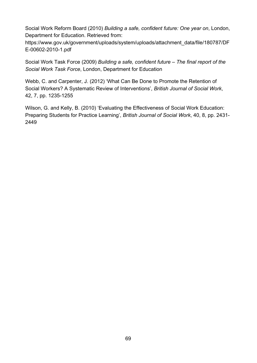Social Work Reform Board (2010) *Building a safe, confident future: One year on*, London, Department for Education. Retrieved from:

https://www.gov.uk/government/uploads/system/uploads/attachment\_data/file/180787/DF E-00602-2010-1.pdf

Social Work Task Force (2009) *Building a safe, confident future – The final report of the Social Work Task Force*, London, Department for Education

Webb, C. and Carpenter, J. (2012) 'What Can Be Done to Promote the Retention of Social Workers? A Systematic Review of Interventions', *British Journal of Social Work*, 42, 7, pp. 1235-1255

Wilson, G. and Kelly, B. (2010) 'Evaluating the Effectiveness of Social Work Education: Preparing Students for Practice Learning', *British Journal of Social Work*, 40, 8, pp. 2431- 2449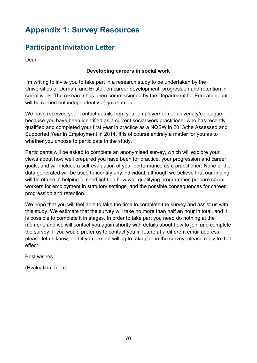# **Appendix 1: Survey Resources**

# **Participant Invitation Letter**

Dear

#### **Developing careers in social work**

I'm writing to invite you to take part in a research study to be undertaken by the Universities of Durham and Bristol, on career development, progression and retention in social work. The research has been commissioned by the Department for Education, but will be carried out independently of government.

We have received your contact details from your employer/former university/colleague, because you have been identified as a current social work practitioner who has recently qualified and completed your first year in practice as a NQSW in 2013/the Assessed and Supported Year in Employment in 2014. It is of course entirely a matter for you as to whether you choose to participate in the study.

Participants will be asked to complete an anonymised survey, which will explore your views about how well prepared you have been for practice, your progression and career goals, and will include a self-evaluation of your performance as a practitioner. None of the data generated will be used to identify any individual, although we believe that our finding will be of use in helping to shed light on how well qualifying programmes prepare social workers for employment in statutory settings, and the possible consequences for career progression and retention.

We hope that you will feel able to take the time to complete the survey and assist us with this study. We estimate that the survey will take no more than half an hour in total, and it is possible to complete it in stages. In order to take part you need do nothing at the moment, and we will contact you again shortly with details about how to join and complete the survey. If you would prefer us to contact you in future at a different email address, please let us know; and if you are not willing to take part in the survey, please reply to that effect.

#### Best wishes

(Evaluation Team)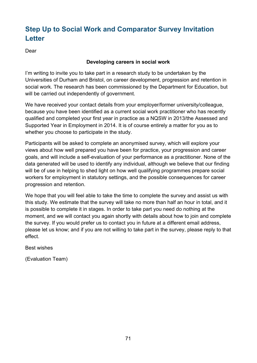# **Step Up to Social Work and Comparator Survey Invitation Letter**

Dear

#### **Developing careers in social work**

I'm writing to invite you to take part in a research study to be undertaken by the Universities of Durham and Bristol, on career development, progression and retention in social work. The research has been commissioned by the Department for Education, but will be carried out independently of government.

We have received your contact details from your employer/former university/colleague, because you have been identified as a current social work practitioner who has recently qualified and completed your first year in practice as a NQSW in 2013/the Assessed and Supported Year in Employment in 2014. It is of course entirely a matter for you as to whether you choose to participate in the study.

Participants will be asked to complete an anonymised survey, which will explore your views about how well prepared you have been for practice, your progression and career goals, and will include a self-evaluation of your performance as a practitioner. None of the data generated will be used to identify any individual, although we believe that our finding will be of use in helping to shed light on how well qualifying programmes prepare social workers for employment in statutory settings, and the possible consequences for career progression and retention.

We hope that you will feel able to take the time to complete the survey and assist us with this study. We estimate that the survey will take no more than half an hour in total, and it is possible to complete it in stages. In order to take part you need do nothing at the moment, and we will contact you again shortly with details about how to join and complete the survey. If you would prefer us to contact you in future at a different email address, please let us know; and if you are not willing to take part in the survey, please reply to that effect.

Best wishes

(Evaluation Team)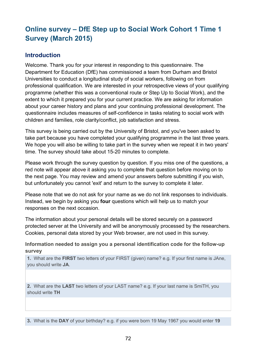# **Online survey – DfE Step up to Social Work Cohort 1 Time 1 Survey (March 2015)**

### **Introduction**

Welcome. Thank you for your interest in responding to this questionnaire. The Department for Education (DfE) has commissioned a team from Durham and Bristol Universities to conduct a longitudinal study of social workers, following on from professional qualification. We are interested in your retrospective views of your qualifying programme (whether this was a conventional route or Step Up to Social Work), and the extent to which it prepared you for your current practice. We are asking for information about your career history and plans and your continuing professional development. The questionnaire includes measures of self-confidence in tasks relating to social work with children and families, role clarity/conflict, job satisfaction and stress.

This survey is being carried out by the University of Bristol, and you've been asked to take part because you have completed your qualifying programme in the last three years. We hope you will also be willing to take part in the survey when we repeat it in two years' time. The survey should take about 15-20 minutes to complete.

Please work through the survey question by question. If you miss one of the questions, a red note will appear above it asking you to complete that question before moving on to the next page. You may review and amend your answers before submitting if you wish, but unfortunately you cannot 'exit' and return to the survey to complete it later.

Please note that we do not ask for your name as we do not link responses to individuals. Instead, we begin by asking you **four** questions which will help us to match your responses on the next occasion.

The information about your personal details will be stored securely on a password protected server at the University and will be anonymously processed by the researchers. Cookies, personal data stored by your Web browser, are not used in this survey.

#### **Information needed to assign you a personal identification code for the follow-up survey**

**1.** What are the **FIRST** two letters of your FIRST (given) name? e.g. If your first name is JAne, you should write **JA**.

**2.** What are the **LAST** two letters of your LAST name? e.g. If your last name is SmiTH, you should write **TH**

**3.** What is the **DAY** of your birthday? e.g. if you were born 19 May 1967 you would enter **19**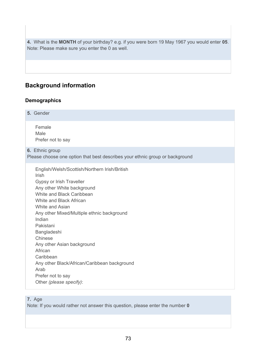**4.** What is the **MONTH** of your birthday? e.g. if you were born 19 May 1967 you would enter **05**. Note: Please make sure you enter the 0 as well.

# **Background information**

## **Demographics**

| Female<br>Male<br>Prefer not to say<br>6. Ethnic group<br>Please choose one option that best describes your ethnic group or background<br>English/Welsh/Scottish/Northern Irish/British<br><b>Irish</b><br>Gypsy or Irish Traveller<br>Any other White background<br>White and Black Caribbean<br>White and Black African<br>White and Asian<br>Any other Mixed/Multiple ethnic background<br>Indian<br>Pakistani<br>Bangladeshi<br>Chinese<br>Any other Asian background<br>African<br>Caribbean<br>Any other Black/African/Caribbean background<br>Arab<br>Prefer not to say<br>Other (please specify): | 5. Gender |  |
|-----------------------------------------------------------------------------------------------------------------------------------------------------------------------------------------------------------------------------------------------------------------------------------------------------------------------------------------------------------------------------------------------------------------------------------------------------------------------------------------------------------------------------------------------------------------------------------------------------------|-----------|--|
|                                                                                                                                                                                                                                                                                                                                                                                                                                                                                                                                                                                                           |           |  |
|                                                                                                                                                                                                                                                                                                                                                                                                                                                                                                                                                                                                           |           |  |
|                                                                                                                                                                                                                                                                                                                                                                                                                                                                                                                                                                                                           |           |  |

## **7.** Age

Note: If you would rather not answer this question, please enter the number **0**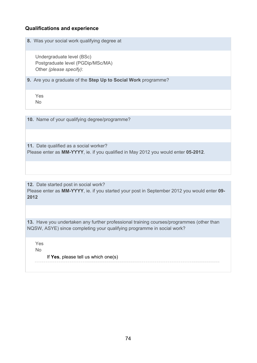### **Qualifications and experience**

**8.** Was your social work qualifying degree at

Undergraduate level (BSc) Postgraduate level (PGDip/MSc/MA) Other *(please specify)*:

**9.** Are you a graduate of the **Step Up to Social Work** programme?

Yes No

**10.** Name of your qualifying degree/programme?

**11.** Date qualified as a social worker? Please enter as **MM-YYYY**, ie. if you qualified in May 2012 you would enter **05-2012**.

**12.** Date started post in social work? Please enter as **MM-YYYY**, ie. if you started your post in September 2012 you would enter **09- 2012**

**13.** Have you undertaken any further professional training courses/programmes (other than NQSW, ASYE) since completing your qualifying programme in social work?

Yes No

If **Yes**, please tell us which one(s)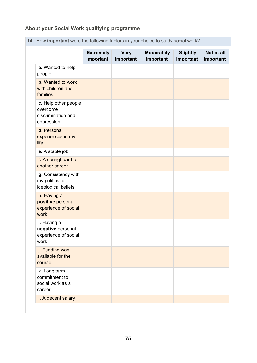# **About your Social Work qualifying programme**

|                                                                      | <b>Extremely</b><br>important | <b>Very</b><br>important | <b>Moderately</b><br>important | <b>Slightly</b><br>important | Not at all<br>important |
|----------------------------------------------------------------------|-------------------------------|--------------------------|--------------------------------|------------------------------|-------------------------|
| a. Wanted to help<br>people                                          |                               |                          |                                |                              |                         |
| <b>b.</b> Wanted to work<br>with children and<br>families            |                               |                          |                                |                              |                         |
| c. Help other people<br>overcome<br>discrimination and<br>oppression |                               |                          |                                |                              |                         |
| d. Personal<br>experiences in my<br>life                             |                               |                          |                                |                              |                         |
| e. A stable job                                                      |                               |                          |                                |                              |                         |
| f. A springboard to<br>another career                                |                               |                          |                                |                              |                         |
| g. Consistency with<br>my political or<br>ideological beliefs        |                               |                          |                                |                              |                         |
| h. Having a<br>positive personal<br>experience of social<br>work     |                               |                          |                                |                              |                         |
| i. Having a<br>negative personal<br>experience of social<br>work     |                               |                          |                                |                              |                         |
| j. Funding was<br>available for the<br>course                        |                               |                          |                                |                              |                         |
| k. Long term<br>commitment to<br>social work as a<br>career          |                               |                          |                                |                              |                         |
| I. A decent salary                                                   |                               |                          |                                |                              |                         |

**14.** How **important** were the following factors in your choice to study social work?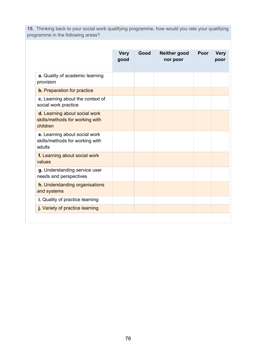**15.** Thinking back to your social work qualifying programme, how would you rate your qualifying programme in the following areas?

|                                                                              | <b>Very</b><br>good | Good | Neither good<br>nor poor | Poor | <b>Very</b><br>poor |
|------------------------------------------------------------------------------|---------------------|------|--------------------------|------|---------------------|
| a. Quality of academic learning<br>provision                                 |                     |      |                          |      |                     |
| <b>b.</b> Preparation for practice                                           |                     |      |                          |      |                     |
| c. Learning about the context of<br>social work practice                     |                     |      |                          |      |                     |
| d. Learning about social work<br>skills/methods for working with<br>children |                     |      |                          |      |                     |
| e. Learning about social work<br>skills/methods for working with<br>adults   |                     |      |                          |      |                     |
| f. Learning about social work<br>values                                      |                     |      |                          |      |                     |
| g. Understanding service user<br>needs and perspectives                      |                     |      |                          |      |                     |
| <b>h.</b> Understanding organisations<br>and systems                         |                     |      |                          |      |                     |
| i. Quality of practice learning                                              |                     |      |                          |      |                     |
| j. Variety of practice learning                                              |                     |      |                          |      |                     |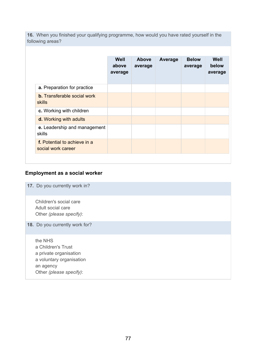**16.** When you finished your qualifying programme, how would you have rated yourself in the following areas?

|                                                     | Well<br>above<br>average | <b>Above</b><br>average | Average | <b>Below</b><br>average | Well<br>below<br>average |
|-----------------------------------------------------|--------------------------|-------------------------|---------|-------------------------|--------------------------|
| a. Preparation for practice                         |                          |                         |         |                         |                          |
| <b>b.</b> Transferable social work<br><b>skills</b> |                          |                         |         |                         |                          |
| c. Working with children                            |                          |                         |         |                         |                          |
| d. Working with adults                              |                          |                         |         |                         |                          |
| e. Leadership and management<br>skills              |                          |                         |         |                         |                          |
| f. Potential to achieve in a<br>social work career  |                          |                         |         |                         |                          |

## **Employment as a social worker**

**17.** Do you currently work in?

Children's social care Adult social care Other *(please specify)*:

**18.** Do you currently work for?

the NHS a Children's Trust a private organisation a voluntary organisation an agency Other *(please specify)*: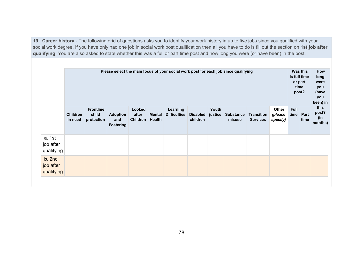**19. Career history** - The following grid of questions asks you to identify your work history in up to five jobs since you qualified with your social work degree. If you have only had one job in social work post qualification then all you have to do is fill out the section on **1st job after qualifying**. You are also asked to state whether this was a full or part time post and how long you were (or have been) in the post.

|                                          | Please select the main focus of your social work post for each job since qualifying |                                         |                                            |                                    |                                |                                 |                             |                  |                            | Was this<br>is full time<br>or part<br>time<br>post? | How<br>long<br>were<br>you<br>(have<br>you<br>been) in |                     |              |                                 |
|------------------------------------------|-------------------------------------------------------------------------------------|-----------------------------------------|--------------------------------------------|------------------------------------|--------------------------------|---------------------------------|-----------------------------|------------------|----------------------------|------------------------------------------------------|--------------------------------------------------------|---------------------|--------------|---------------------------------|
|                                          | <b>Children</b><br>in need                                                          | <b>Frontline</b><br>child<br>protection | <b>Adoption</b><br>and<br><b>Fostering</b> | Looked<br>after<br><b>Children</b> | <b>Mental</b><br><b>Health</b> | Learning<br><b>Difficulties</b> | <b>Disabled</b><br>children | Youth<br>justice | <b>Substance</b><br>misuse | <b>Transition</b><br><b>Services</b>                 | Other<br>(please<br>specify)                           | <b>Full</b><br>time | Part<br>time | this<br>post?<br>(in<br>months) |
| <b>a.</b> 1st<br>job after<br>qualifying |                                                                                     |                                         |                                            |                                    |                                |                                 |                             |                  |                            |                                                      |                                                        |                     |              |                                 |
| b. 2nd<br>job after<br>qualifying        |                                                                                     |                                         |                                            |                                    |                                |                                 |                             |                  |                            |                                                      |                                                        |                     |              |                                 |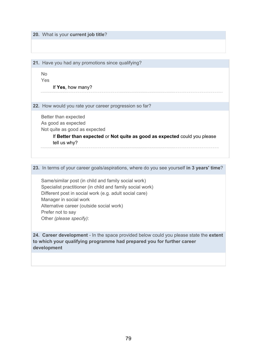**20.** What is your **current job title**?

**21.** Have you had any promotions since qualifying?

No

Yes

#### If **Yes**, how many?

**22.** How would you rate your career progression so far?

Better than expected As good as expected Not quite as good as expected

> If **Better than expected** or **Not quite as good as expected** could you please tell us why?

**23.** In terms of your career goals/aspirations, where do you see yourself **in 3 years' time**?

Same/similar post (in child and family social work) Specialist practitioner (in child and family social work) Different post in social work (e.g. adult social care) Manager in social work Alternative career (outside social work) Prefer not to say Other *(please specify)*:

**24. Career development** - In the space provided below could you please state the **extent to which your qualifying programme had prepared you for further career development**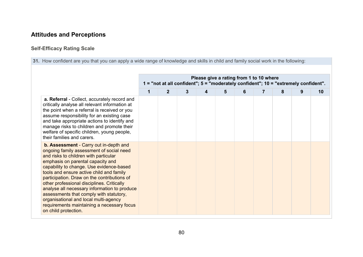# **Attitudes and Perceptions**

## **Self-Efficacy Rating Scale**

**31.** How confident are you that you can apply a wide range of knowledge and skills in child and family social work in the following:

|                                                                                                                                                                                                                                                                                                                                                                                                                                                                                                                                                                        | Please give a rating from 1 to 10 where<br>1 = "not at all confident"; 5 = "moderately confident"; 10 = "extremely confident". |                |   |   |   |   |  |   |   |    |
|------------------------------------------------------------------------------------------------------------------------------------------------------------------------------------------------------------------------------------------------------------------------------------------------------------------------------------------------------------------------------------------------------------------------------------------------------------------------------------------------------------------------------------------------------------------------|--------------------------------------------------------------------------------------------------------------------------------|----------------|---|---|---|---|--|---|---|----|
|                                                                                                                                                                                                                                                                                                                                                                                                                                                                                                                                                                        | 1                                                                                                                              | $\overline{2}$ | 3 | 4 | 5 | 6 |  | 8 | 9 | 10 |
| a. Referral - Collect, accurately record and<br>critically analyse all relevant information at<br>the point when a referral is received or you<br>assume responsibility for an existing case<br>and take appropriate actions to identify and<br>manage risks to children and promote their<br>welfare of specific children, young people,<br>their families and carers.                                                                                                                                                                                                |                                                                                                                                |                |   |   |   |   |  |   |   |    |
| <b>b. Assessment - Carry out in-depth and</b><br>ongoing family assessment of social need<br>and risks to children with particular<br>emphasis on parental capacity and<br>capability to change. Use evidence-based<br>tools and ensure active child and family<br>participation. Draw on the contributions of<br>other professional disciplines. Critically<br>analyse all necessary information to produce<br>assessments that comply with statutory,<br>organisational and local multi-agency<br>requirements maintaining a necessary focus<br>on child protection. |                                                                                                                                |                |   |   |   |   |  |   |   |    |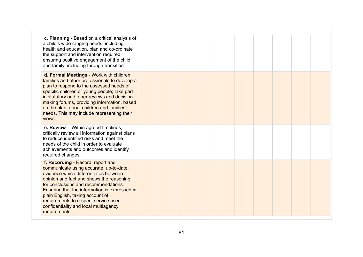| c. Planning - Based on a critical analysis of<br>a child's wide ranging needs, including<br>health and education, plan and co-ordinate<br>the support and intervention required,<br>ensuring positive engagement of the child<br>and family, including through transition.                                                                                                                       |  |  |  |  |  |
|--------------------------------------------------------------------------------------------------------------------------------------------------------------------------------------------------------------------------------------------------------------------------------------------------------------------------------------------------------------------------------------------------|--|--|--|--|--|
| d. Formal Meetings - Work with children,<br>families and other professionals to develop a<br>plan to respond to the assessed needs of<br>specific children or young people; take part<br>in statutory and other reviews and decision<br>making forums, providing information, based<br>on the plan, about children and families'<br>needs. This may include representing their<br>views.         |  |  |  |  |  |
| e. Review -- Within agreed timelines,<br>critically review all information against plans<br>to reduce identified risks and meet the<br>needs of the child in order to evaluate<br>achievements and outcomes and identify<br>required changes.                                                                                                                                                    |  |  |  |  |  |
| f. Recording - Record, report and<br>communicate using accurate, up-to-date,<br>evidence which differentiates between<br>opinion and fact and shows the reasoning<br>for conclusions and recommendations.<br>Ensuring that the information is expressed in<br>plain English, taking account of<br>requirements to respect service user<br>confidentiality and local multiagency<br>requirements. |  |  |  |  |  |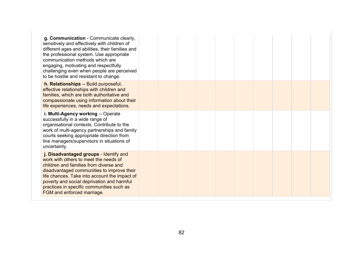| g. Communication - Communicate clearly,<br>sensitively and effectively with children of<br>different ages and abilities, their families and<br>the professional system. Use appropriate<br>communication methods which are<br>engaging, motivating and respectfully<br>challenging even when people are perceived<br>to be hostile and resistant to change. |  |  |  |  |  |
|-------------------------------------------------------------------------------------------------------------------------------------------------------------------------------------------------------------------------------------------------------------------------------------------------------------------------------------------------------------|--|--|--|--|--|
| h. Relationships -- Build purposeful,<br>effective relationships with children and<br>families, which are both authoritative and<br>compassionate using information about their<br>life experiences, needs and expectations.                                                                                                                                |  |  |  |  |  |
| i. Multi-Agency working -- Operate<br>successfully in a wide range of<br>organisational contexts. Contribute to the<br>work of multi-agency partnerships and family<br>courts seeking appropriate direction from<br>line managers/supervisors in situations of<br>uncertainty.                                                                              |  |  |  |  |  |
| j. Disadvantaged groups - Identify and<br>work with others to meet the needs of<br>children and families from diverse and<br>disadvantaged communities to improve their<br>life chances. Take into account the impact of<br>poverty and social deprivation and harmful<br>practices in specific communities such as<br>FGM and enforced marriage.           |  |  |  |  |  |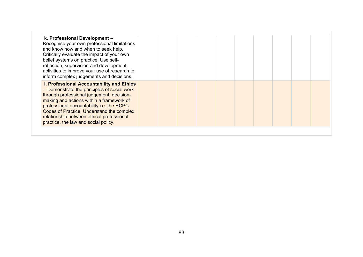| k. Professional Development --<br>Recognise your own professional limitations<br>and know how and when to seek help.<br>Critically evaluate the impact of your own<br>belief systems on practice. Use self-<br>reflection, supervision and development<br>activities to improve your use of research to<br>inform complex judgements and decisions.               |  |  |  |  |  |
|-------------------------------------------------------------------------------------------------------------------------------------------------------------------------------------------------------------------------------------------------------------------------------------------------------------------------------------------------------------------|--|--|--|--|--|
| I. Professional Accountability and Ethics<br>-- Demonstrate the principles of social work<br>through professional judgement, decision-<br>making and actions within a framework of<br>professional accountability i.e. the HCPC<br>Codes of Practice. Understand the complex<br>relationship between ethical professional<br>practice, the law and social policy. |  |  |  |  |  |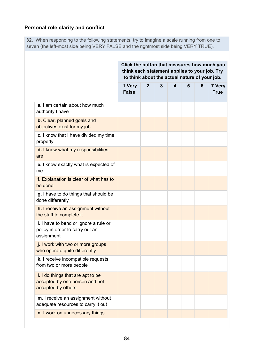## **Personal role clarity and conflict**

**32.** When responding to the following statements, try to imagine a scale running from one to seven (the left-most side being VERY FALSE and the rightmost side being VERY TRUE).

|                                                                                           | Click the button that measures how much you<br>think each statement applies to your job. Try<br>to think about the actual nature of your job. |                |   |   |   |   |                       |
|-------------------------------------------------------------------------------------------|-----------------------------------------------------------------------------------------------------------------------------------------------|----------------|---|---|---|---|-----------------------|
|                                                                                           | 1 Very<br><b>False</b>                                                                                                                        | $\overline{2}$ | 3 | 4 | 5 | 6 | 7 Very<br><b>True</b> |
| a. I am certain about how much<br>authority I have                                        |                                                                                                                                               |                |   |   |   |   |                       |
| <b>b.</b> Clear, planned goals and<br>objectives exist for my job                         |                                                                                                                                               |                |   |   |   |   |                       |
| c. I know that I have divided my time<br>properly                                         |                                                                                                                                               |                |   |   |   |   |                       |
| <b>d.</b> I know what my responsibilities<br>are                                          |                                                                                                                                               |                |   |   |   |   |                       |
| e. I know exactly what is expected of<br>me                                               |                                                                                                                                               |                |   |   |   |   |                       |
| f. Explanation is clear of what has to<br>be done                                         |                                                                                                                                               |                |   |   |   |   |                       |
| g. I have to do things that should be<br>done differently                                 |                                                                                                                                               |                |   |   |   |   |                       |
| <b>h.</b> I receive an assignment without<br>the staff to complete it                     |                                                                                                                                               |                |   |   |   |   |                       |
| i. I have to bend or ignore a rule or<br>policy in order to carry out an<br>assignment    |                                                                                                                                               |                |   |   |   |   |                       |
| j. I work with two or more groups<br>who operate quite differently                        |                                                                                                                                               |                |   |   |   |   |                       |
| k. I receive incompatible requests<br>from two or more people                             |                                                                                                                                               |                |   |   |   |   |                       |
| I. I do things that are apt to be<br>accepted by one person and not<br>accepted by others |                                                                                                                                               |                |   |   |   |   |                       |
| m. I receive an assignment without<br>adequate resources to carry it out                  |                                                                                                                                               |                |   |   |   |   |                       |
| n. I work on unnecessary things                                                           |                                                                                                                                               |                |   |   |   |   |                       |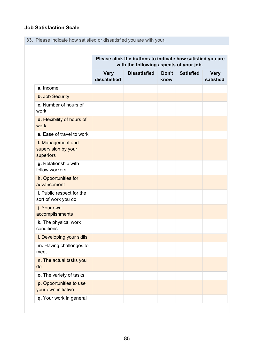## **Job Satisfaction Scale**

**33.** Please indicate how satisfied or dissatisfied you are with your:

|                                                       |                             | Please click the buttons to indicate how satisfied you are<br>with the following aspects of your job. |               |                  |                          |
|-------------------------------------------------------|-----------------------------|-------------------------------------------------------------------------------------------------------|---------------|------------------|--------------------------|
|                                                       | <b>Very</b><br>dissatisfied | <b>Dissatisfied</b>                                                                                   | Don't<br>know | <b>Satisfied</b> | <b>Very</b><br>satisfied |
| a. Income                                             |                             |                                                                                                       |               |                  |                          |
| <b>b.</b> Job Security                                |                             |                                                                                                       |               |                  |                          |
| c. Number of hours of<br>work                         |                             |                                                                                                       |               |                  |                          |
| d. Flexibility of hours of<br>work                    |                             |                                                                                                       |               |                  |                          |
| e. Ease of travel to work                             |                             |                                                                                                       |               |                  |                          |
| f. Management and<br>supervision by your<br>superiors |                             |                                                                                                       |               |                  |                          |
| g. Relationship with<br>fellow workers                |                             |                                                                                                       |               |                  |                          |
| h. Opportunities for<br>advancement                   |                             |                                                                                                       |               |                  |                          |
| i. Public respect for the<br>sort of work you do      |                             |                                                                                                       |               |                  |                          |
| j. Your own<br>accomplishments                        |                             |                                                                                                       |               |                  |                          |
| k. The physical work<br>conditions                    |                             |                                                                                                       |               |                  |                          |
| I. Developing your skills                             |                             |                                                                                                       |               |                  |                          |
| m. Having challenges to<br>meet                       |                             |                                                                                                       |               |                  |                          |
| n. The actual tasks you<br>do                         |                             |                                                                                                       |               |                  |                          |
| o. The variety of tasks                               |                             |                                                                                                       |               |                  |                          |
| p. Opportunities to use<br>your own initiative        |                             |                                                                                                       |               |                  |                          |
| q. Your work in general                               |                             |                                                                                                       |               |                  |                          |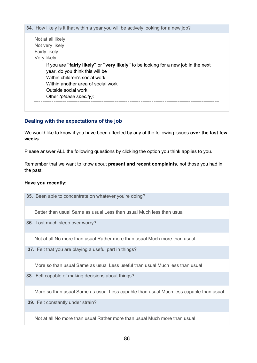**34.** How likely is it that within a year you will be actively looking for a new job? Not at all likely Not very likely Fairly likely Very likely If you are **"fairly likely"** or **"very likely"** to be looking for a new job in the next year, do you think this will be Within children's social work Within another area of social work Outside social work Other *(please specify)*:

#### **Dealing with the expectations of the job**

We would like to know if you have been affected by any of the following issues **over the last few weeks**.

Please answer ALL the following questions by clicking the option you think applies to you.

Remember that we want to know about **present and recent complaints**, not those you had in the past.

#### **Have you recently:**

**35.** Been able to concentrate on whatever you're doing?

Better than usual Same as usual Less than usual Much less than usual

**36.** Lost much sleep over worry?

Not at all No more than usual Rather more than usual Much more than usual

**37.** Felt that you are playing a useful part in things?

More so than usual Same as usual Less useful than usual Much less than usual

**38.** Felt capable of making decisions about things?

More so than usual Same as usual Less capable than usual Much less capable than usual

**39.** Felt constantly under strain?

Not at all No more than usual Rather more than usual Much more than usual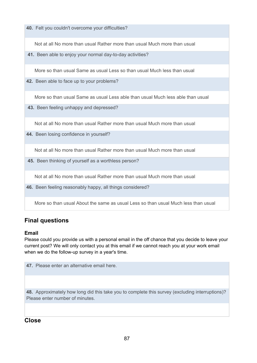**40.** Felt you couldn't overcome your difficulties?

Not at all No more than usual Rather more than usual Much more than usual

**41.** Been able to enjoy your normal day-to-day activities?

More so than usual Same as usual Less so than usual Much less than usual

**42.** Been able to face up to your problems?

More so than usual Same as usual Less able than usual Much less able than usual

**43.** Been feeling unhappy and depressed?

Not at all No more than usual Rather more than usual Much more than usual

**44.** Been losing confidence in yourself?

Not at all No more than usual Rather more than usual Much more than usual

**45.** Been thinking of yourself as a worthless person?

Not at all No more than usual Rather more than usual Much more than usual

**46.** Been feeling reasonably happy, all things considered?

More so than usual About the same as usual Less so than usual Much less than usual

## **Final questions**

#### **Email**

Please could you provide us with a personal email in the off chance that you decide to leave your current post? We will only contact you at this email if we cannot reach you at your work email when we do the follow-up survey in a year's time.

**47.** Please enter an alternative email here.

**48.** Approximately how long did this take you to complete this survey (excluding interruptions)? Please enter number of minutes

## **Close**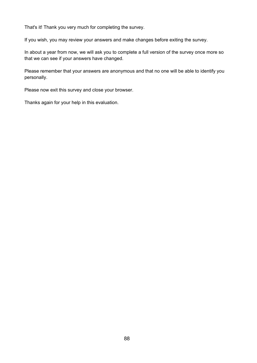That's it! Thank you very much for completing the survey.

If you wish, you may review your answers and make changes before exiting the survey.

In about a year from now, we will ask you to complete a full version of the survey once more so that we can see if your answers have changed.

Please remember that your answers are anonymous and that no one will be able to identify you personally.

Please now exit this survey and close your browser.

Thanks again for your help in this evaluation.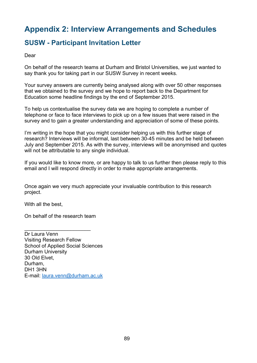# **Appendix 2: Interview Arrangements and Schedules**

# **SUSW - Participant Invitation Letter**

Dear

On behalf of the research teams at Durham and Bristol Universities, we just wanted to say thank you for taking part in our SUSW Survey in recent weeks.

Your survey answers are currently being analysed along with over 50 other responses that we obtained to the survey and we hope to report back to the Department for Education some headline findings by the end of September 2015.

To help us contextualise the survey data we are hoping to complete a number of telephone or face to face interviews to pick up on a few issues that were raised in the survey and to gain a greater understanding and appreciation of some of these points.

I'm writing in the hope that you might consider helping us with this further stage of research? Interviews will be informal, last between 30-45 minutes and be held between July and September 2015. As with the survey, interviews will be anonymised and quotes will not be attributable to any single individual.

If you would like to know more, or are happy to talk to us further then please reply to this email and I will respond directly in order to make appropriate arrangements.

Once again we very much appreciate your invaluable contribution to this research project.

With all the best,

On behalf of the research team

\_\_\_\_\_\_\_\_\_\_\_\_\_\_\_\_\_\_\_\_\_\_\_

Dr Laura Venn Visiting Research Fellow School of Applied Social Sciences Durham University 30 Old Elvet, Durham, DH1 3HN E-mail: [laura.venn@durham.ac.uk](mailto:laura.venn@durham.ac.uk)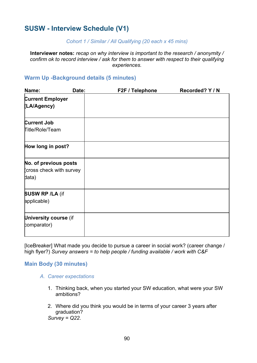# **SUSW - Interview Schedule (V1)**

#### *Cohort 1 / Similar / All Qualifying (20 each x 45 mins)*

**Interviewer notes:** *recap on why interview is important to the research / anonymity / confirm ok to record interview / ask for them to answer with respect to their qualifying experiences.*

## **Warm Up -Background details (5 minutes)**

| Name:                                                      | Date: | F2F / Telephone | Recorded? Y / N |
|------------------------------------------------------------|-------|-----------------|-----------------|
| <b>Current Employer</b><br>(LA/Agency)                     |       |                 |                 |
| <b>Current Job</b><br>Title/Role/Team                      |       |                 |                 |
| How long in post?                                          |       |                 |                 |
| No. of previous posts<br>cross check with survey)<br>data) |       |                 |                 |
| <b>SUSW RP /LA (if</b><br>applicable)                      |       |                 |                 |
| University course (if<br>comparator)                       |       |                 |                 |

[IceBreaker] What made you decide to pursue a career in social work? (career change / high flyer?) *Survey answers = to help people / funding available / work with C&F*

#### **Main Body (30 minutes)**

- *A. Career expectations*
	- 1. Thinking back, when you started your SW education, what were your SW ambitions?
	- 2. Where did you think you would be in terms of your career 3 years after graduation? *Survey = Q22*.

90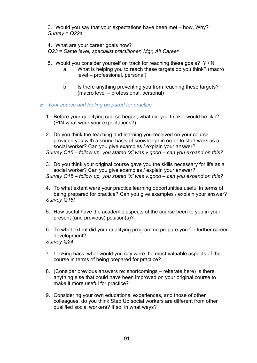3. Would you say that your expectations have been met – how, Why? *Survey = Q22a*

4. What are your career goals now?

*Q23 = Same level, specialist practitioner, Mgr, Alt Career*

- 5. Would you consider yourself on track for reaching these goals? Y / N
	- a. What is helping you to reach these targets do you think? (macro level – professional, personal)
	- b. Is there anything preventing you from reaching these targets? (macro level – professional, personal)
- *B. Your course and feeling prepared for practice*
	- 1. Before your qualifying course began, what did you think it would be like? (PIN-what were your expectations?)
	- 2. Do you think the teaching and learning you received on your course provided you with a sound basis of knowledge in order to start work as a social worker? Can you give examples / explain your answer? *Survey Q15 – follow up, you stated 'X' was v.good – can you expand on this?*
	- 3. Do you think your original course gave you the skills necessary for life as a social worker? Can you give examples / explain your answer? *Survey Q15 – follow up, you stated 'X' was v.good – can you expand on this?*
	- 4. To what extent were your practice learning opportunities useful in terms of being prepared for practice? Can you give examples / explain your answer? *Survey Q15I*
	- 5. How useful have the academic aspects of the course been to you in your present (and previous) position(s)?
	- 6. To what extent did your qualifying programme prepare you for further career development?
	- *Survey Q24*
	- 7. Looking back, what would you say were the most valuable aspects of the course in terms of being prepared for practice?
	- 8. (Consider previous answers re: shortcomings reiterate here) Is there anything else that could have been improved on your original course to make it more useful for practice?
	- 9. Considering your own educational experiences, and those of other colleagues, do you think Step Up social workers are different from other qualified social workers? If so, in what ways?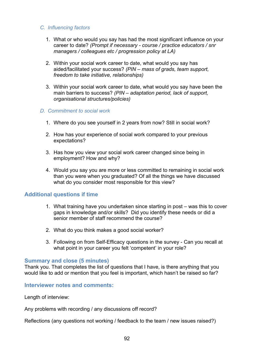#### *C. Influencing factors*

- 1. What or who would you say has had the most significant influence on your career to date? *(Prompt if necessary - course / practice educators / snr managers / colleagues etc / progression policy at LA)*
- 2. Within your social work career to date, what would you say has aided/facilitated your success? *(PIN – mass of grads, team support, freedom to take initiative, relationships)*
- 3. Within your social work career to date, what would you say have been the main barriers to success? *(PIN – adaptation period, lack of support, organisational structures/policies)*
- *D. Commitment to social work*
	- 1. Where do you see yourself in 2 years from now? Still in social work?
	- 2. How has your experience of social work compared to your previous expectations?
	- 3. Has how you view your social work career changed since being in employment? How and why?
	- 4. Would you say you are more or less committed to remaining in social work than you were when you graduated? Of all the things we have discussed what do you consider most responsible for this view?

### **Additional questions if time**

- 1. What training have you undertaken since starting in post was this to cover gaps in knowledge and/or skills? Did you identify these needs or did a senior member of staff recommend the course?
- 2. What do you think makes a good social worker?
- 3. Following on from Self-Efficacy questions in the survey Can you recall at what point in your career you felt 'competent' in your role?

#### **Summary and close (5 minutes)**

Thank you. That completes the list of questions that I have, is there anything that you would like to add or mention that you feel is important, which hasn't be raised so far?

#### **Interviewer notes and comments:**

Length of interview:

Any problems with recording / any discussions off record?

Reflections (any questions not working / feedback to the team / new issues raised?)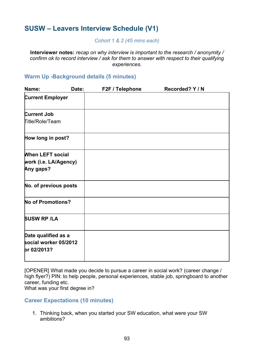# **SUSW – Leavers Interview Schedule (V1)**

#### *Cohort 1 & 2 (45 mins each)*

**Interviewer notes:** *recap on why interview is important to the research / anonymity / confirm ok to record interview / ask for them to answer with respect to their qualifying experiences.*

## **Warm Up -Background details (5 minutes)**

| Name:                                                         | Date: | F2F / Telephone | Recorded? Y / N |
|---------------------------------------------------------------|-------|-----------------|-----------------|
| <b>Current Employer</b>                                       |       |                 |                 |
| <b>Current Job</b><br><b>Title/Role/Team</b>                  |       |                 |                 |
| How long in post?                                             |       |                 |                 |
| <b>When LEFT social</b><br>work (i.e. LA/Agency)<br>Any gaps? |       |                 |                 |
| No. of previous posts                                         |       |                 |                 |
| <b>No of Promotions?</b>                                      |       |                 |                 |
| <b>SUSW RP /LA</b>                                            |       |                 |                 |
| Date qualified as a<br>social worker 05/2012<br>pr 02/2013?   |       |                 |                 |

[OPENER] What made you decide to pursue a career in social work? (career change / high flyer?) PIN: to help people, personal experiences, stable job, springboard to another career, funding etc.

What was your first degree in?

### **Career Expectations (10 minutes)**

1. Thinking back, when you started your SW education, what were your SW ambitions?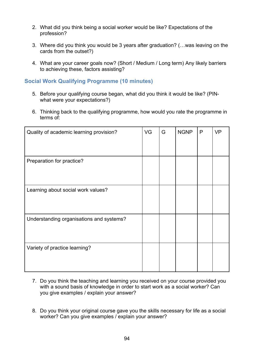- 2. What did you think being a social worker would be like? Expectations of the profession?
- 3. Where did you think you would be 3 years after graduation? (…was leaving on the cards from the outset?)
- 4. What are your career goals now? (Short / Medium / Long term) Any likely barriers to achieving these, factors assisting?

## **Social Work Qualifying Programme (10 minutes)**

- 5. Before your qualifying course began, what did you think it would be like? (PINwhat were your expectations?)
- 6. Thinking back to the qualifying programme, how would you rate the programme in terms of:

| Quality of academic learning provision?  | VG | G | <b>NGNP</b> | $\mathsf{P}$ | <b>VP</b> |
|------------------------------------------|----|---|-------------|--------------|-----------|
| Preparation for practice?                |    |   |             |              |           |
| Learning about social work values?       |    |   |             |              |           |
| Understanding organisations and systems? |    |   |             |              |           |
| Variety of practice learning?            |    |   |             |              |           |

- 7. Do you think the teaching and learning you received on your course provided you with a sound basis of knowledge in order to start work as a social worker? Can you give examples / explain your answer?
- 8. Do you think your original course gave you the skills necessary for life as a social worker? Can you give examples / explain your answer?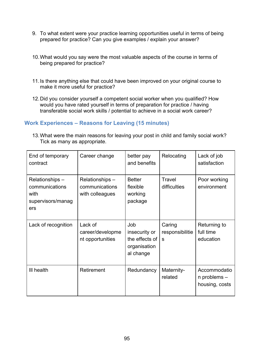- 9. To what extent were your practice learning opportunities useful in terms of being prepared for practice? Can you give examples / explain your answer?
- 10.What would you say were the most valuable aspects of the course in terms of being prepared for practice?
- 11.Is there anything else that could have been improved on your original course to make it more useful for practice?
- 12.Did you consider yourself a competent social worker when you qualified? How would you have rated yourself in terms of preparation for practice / having transferable social work skills / potential to achieve in a social work career?

## **Work Experiences – Reasons for Leaving (15 minutes)**

13.What were the main reasons for leaving your post in child and family social work? Tick as many as appropriate.

| End of temporary<br>contract                                          | Career change                                        | better pay<br>and benefits                                          | Relocating                     | Lack of job<br>satisfaction                        |
|-----------------------------------------------------------------------|------------------------------------------------------|---------------------------------------------------------------------|--------------------------------|----------------------------------------------------|
| Relationships –<br>communications<br>with<br>supervisors/manag<br>ers | Relationships -<br>communications<br>with colleagues | <b>Better</b><br>flexible<br>working<br>package                     | Travel<br>difficulties         | Poor working<br>environment                        |
| Lack of recognition                                                   | Lack of<br>career/developme<br>nt opportunities      | Job<br>insecurity or<br>the effects of<br>organisation<br>al change | Caring<br>responsibilitie<br>S | Returning to<br>full time<br>education             |
| III health                                                            | Retirement                                           | Redundancy                                                          | Maternity-<br>related          | Accommodatio<br>$n$ problems $-$<br>housing, costs |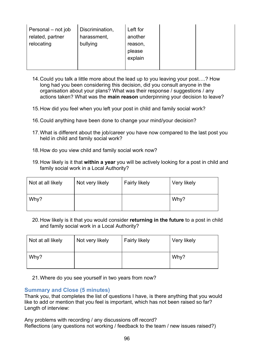| Personal - not job<br>related, partner | Discrimination,<br>harassment, | Left for<br>another          |  |
|----------------------------------------|--------------------------------|------------------------------|--|
| relocating                             | bullying                       | reason,<br>please<br>explain |  |
|                                        |                                |                              |  |

- 14.Could you talk a little more about the lead up to you leaving your post….? How long had you been considering this decision, did you consult anyone in the organisation about your plans? What was their response / suggestions / any actions taken? What was the **main reason** underpinning your decision to leave?
- 15.How did you feel when you left your post in child and family social work?
- 16.Could anything have been done to change your mind/your decision?
- 17.What is different about the job/career you have now compared to the last post you held in child and family social work?
- 18.How do you view child and family social work now?
- 19.How likely is it that **within a year** you will be actively looking for a post in child and family social work in a Local Authority?

| Not at all likely | Not very likely | <b>Fairly likely</b> | Very likely |
|-------------------|-----------------|----------------------|-------------|
| Why?              |                 |                      | Why?        |

20.How likely is it that you would consider **returning in the future** to a post in child and family social work in a Local Authority?

| Not at all likely | Not very likely | <b>Fairly likely</b> | Very likely |
|-------------------|-----------------|----------------------|-------------|
| Why?              |                 |                      | Why?        |

21.Where do you see yourself in two years from now?

### **Summary and Close (5 minutes)**

Thank you, that completes the list of questions I have, is there anything that you would like to add or mention that you feel is important, which has not been raised so far? Length of interview:

Any problems with recording / any discussions off record? Reflections (any questions not working / feedback to the team / new issues raised?)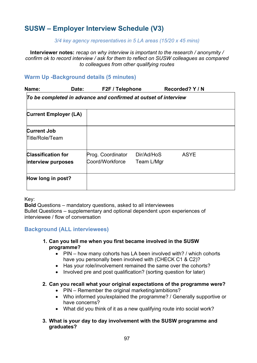# **SUSW – Employer Interview Schedule (V3)**

#### *3/4 key agency representatives in 5 LA areas (15/20 x 45 mins)*

**Interviewer notes:** *recap on why interview is important to the research / anonymity / confirm ok to record interview / ask for them to reflect on SUSW colleagues as compared to colleagues from other qualifying routes*

## **Warm Up -Background details (5 minutes)**

| Name: | Date: | F2F / Telephone | Recorded? Y / N |
|-------|-------|-----------------|-----------------|
|       |       |                 |                 |

### *To be completed in advance and confirmed at outset of interview*

| <b>Current Employer (LA)</b>                    |                                      |                          |             |
|-------------------------------------------------|--------------------------------------|--------------------------|-------------|
| <b>Current Job</b><br>Title/Role/Team           |                                      |                          |             |
| <b>Classification for</b><br>interview purposes | Prog. Coordinator<br>Coord/Workforce | Dir/Ad/HoS<br>Team L/Mgr | <b>ASYE</b> |
| How long in post?                               |                                      |                          |             |

#### Key:

**Bold** Questions – mandatory questions, asked to all interviewees Bullet Questions – supplementary and optional dependent upon experiences of interviewee / flow of conversation

### **Background (ALL interviewees)**

- **1. Can you tell me when you first became involved in the SUSW programme?**
	- PIN how many cohorts has LA been involved with? / which cohorts have you personally been involved with (CHECK C1 & C2)?
	- Has your role/involvement remained the same over the cohorts?
	- Involved pre and post qualification? (sorting question for later)

#### **2. Can you recall what your original expectations of the programme were?**

- PIN Remember the original marketing/ambitions?
- Who informed you/explained the programme? / Generally supportive or have concerns?
- What did you think of it as a new qualifying route into social work?

#### **3. What is your day to day involvement with the SUSW programme and graduates?**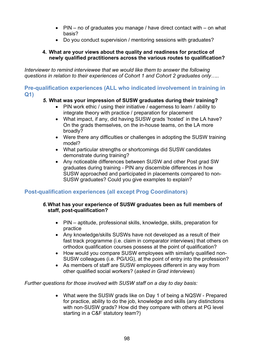- PIN no of graduates you manage / have direct contact with  $-$  on what basis?
- Do you conduct supervision / mentoring sessions with graduates?

### **4. What are your views about the quality and readiness for practice of newly qualified practitioners across the various routes to qualification?**

*Interviewer to remind interviewee that we would like them to answer the following questions in relation to their experiences of Cohort 1 and Cohort 2 graduates only…..*

### **Pre-qualification experiences (ALL who indicated involvement in training in Q1)**

## *5.* **What was your impression of SUSW graduates during their training?**

- PIN work ethic / using their initiative / eagerness to learn / ability to integrate theory with practice / preparation for placement
- What impact, if any, did having SUSW grads 'hosted' in the LA have? On the grads themselves, on the in-house teams, on the LA more broadly?
- Were there any difficulties or challenges in adopting the SUSW training model?
- What particular strengths or shortcomings did SUSW candidates demonstrate during training?
- Any noticeable differences between SUSW and other Post grad SW graduates during training - PIN any discernible differences in how SUSW approached and participated in placements compared to non-SUSW graduates? Could you give examples to explain?

## **Post-qualification experiences (all except Prog Coordinators)**

#### *6.***What has your experience of SUSW graduates been as full members of staff, post-qualification?**

- PIN aptitude, professional skills, knowledge, skills, preparation for practice
- Any knowledge/skills SUSWs have not developed as a result of their fast track programme (i.e. claim in comparator interviews) that others on orthodox qualification courses possess at the point of qualification?
- How would you compare SUSW employees with similarly qualified non-SUSW colleagues (i.e. PG/UG), at the point of entry into the profession?
- As members of staff are SUSW employees different in any way from other qualified social workers? (*asked in Grad interviews*)

*Further questions for those involved with SUSW staff on a day to day basis:*

• What were the SUSW grads like on Day 1 of being a NQSW - Prepared for practice, ability to do the job, knowledge and skills (any distinctions with non-SUSW grads? How did they compare with others at PG level starting in a C&F statutory team?)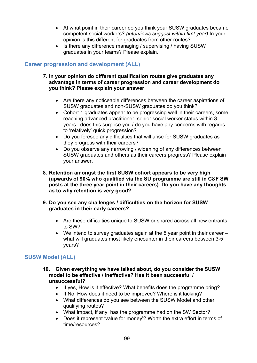- At what point in their career do you think your SUSW graduates became competent social workers? *(interviews suggest within first year)* In your opinion is this different for graduates from other routes?
- Is there any difference managing / supervising / having SUSW graduates in your teams? Please explain.

## **Career progression and development (ALL)**

#### *7.* **In your opinion do different qualification routes give graduates any advantage in terms of career progression and career development do you think? Please explain your answer**

- Are there any noticeable differences between the career aspirations of SUSW graduates and non-SUSW graduates do you think?
- Cohort 1 graduates appear to be progressing well in their careers, some reaching advanced practitioner, senior social worker status within 3 years –does this surprise you / do you have any concerns with regards to 'relatively' quick progression?
- Do you foresee any difficulties that will arise for SUSW graduates as they progress with their careers?
- Do you observe any narrowing / widening of any differences between SUSW graduates and others as their careers progress? Please explain your answer.
- **8. Retention amongst the first SUSW cohort appears to be very high (upwards of 90% who qualified via the SU programme are still in C&F SW posts at the three year point in their careers). Do you have any thoughts as to why retention is very good?**
- **9. Do you see any challenges / difficulties on the horizon for SUSW graduates in their early careers?**
	- Are these difficulties unique to SUSW or shared across all new entrants to SW?
	- We intend to survey graduates again at the 5 year point in their career what will graduates most likely encounter in their careers between 3-5 years?

## **SUSW Model (ALL)**

- **10. Given everything we have talked about, do you consider the SUSW model to be effective / ineffective? Has it been successful / unsuccessful?**
	- If yes, How is it effective? What benefits does the programme bring?
	- If No, How does it need to be improved? Where is it lacking?
	- What differences do you see between the SUSW Model and other qualifying routes?
	- What impact, if any, has the programme had on the SW Sector?
	- Does it represent 'value for money'? Worth the extra effort in terms of time/resources?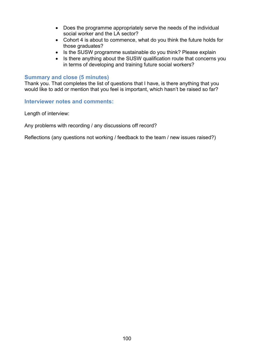- Does the programme appropriately serve the needs of the individual social worker and the LA sector?
- Cohort 4 is about to commence, what do you think the future holds for those graduates?
- Is the SUSW programme sustainable do you think? Please explain
- Is there anything about the SUSW qualification route that concerns you in terms of developing and training future social workers?

#### **Summary and close (5 minutes)**

Thank you. That completes the list of questions that I have, is there anything that you would like to add or mention that you feel is important, which hasn't be raised so far?

**Interviewer notes and comments:**

Length of interview:

Any problems with recording / any discussions off record?

Reflections (any questions not working / feedback to the team / new issues raised?)